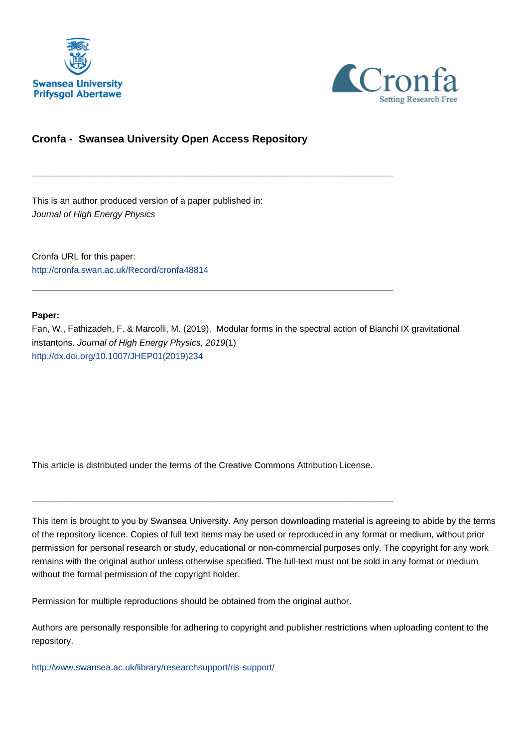



# **Cronfa - Swansea University Open Access Repository**

\_\_\_\_\_\_\_\_\_\_\_\_\_\_\_\_\_\_\_\_\_\_\_\_\_\_\_\_\_\_\_\_\_\_\_\_\_\_\_\_\_\_\_\_\_\_\_\_\_\_\_\_\_\_\_\_\_\_\_\_\_

\_\_\_\_\_\_\_\_\_\_\_\_\_\_\_\_\_\_\_\_\_\_\_\_\_\_\_\_\_\_\_\_\_\_\_\_\_\_\_\_\_\_\_\_\_\_\_\_\_\_\_\_\_\_\_\_\_\_\_\_\_

This is an author produced version of a paper published in: Journal of High Energy Physics

Cronfa URL for this paper: <http://cronfa.swan.ac.uk/Record/cronfa48814>

# **Paper:**

Fan, W., Fathizadeh, F. & Marcolli, M. (2019). Modular forms in the spectral action of Bianchi IX gravitational instantons. Journal of High Energy Physics, 2019(1) [http://dx.doi.org/10.1007/JHEP01\(2019\)234](http://dx.doi.org/10.1007/JHEP01(2019)234)

This article is distributed under the terms of the Creative Commons Attribution License.

\_\_\_\_\_\_\_\_\_\_\_\_\_\_\_\_\_\_\_\_\_\_\_\_\_\_\_\_\_\_\_\_\_\_\_\_\_\_\_\_\_\_\_\_\_\_\_\_\_\_\_\_\_\_\_\_\_\_\_\_\_

This item is brought to you by Swansea University. Any person downloading material is agreeing to abide by the terms of the repository licence. Copies of full text items may be used or reproduced in any format or medium, without prior permission for personal research or study, educational or non-commercial purposes only. The copyright for any work remains with the original author unless otherwise specified. The full-text must not be sold in any format or medium without the formal permission of the copyright holder.

Permission for multiple reproductions should be obtained from the original author.

Authors are personally responsible for adhering to copyright and publisher restrictions when uploading content to the repository.

[http://www.swansea.ac.uk/library/researchsupport/ris-support/](http://www.swansea.ac.uk/library/researchsupport/ris-support/ )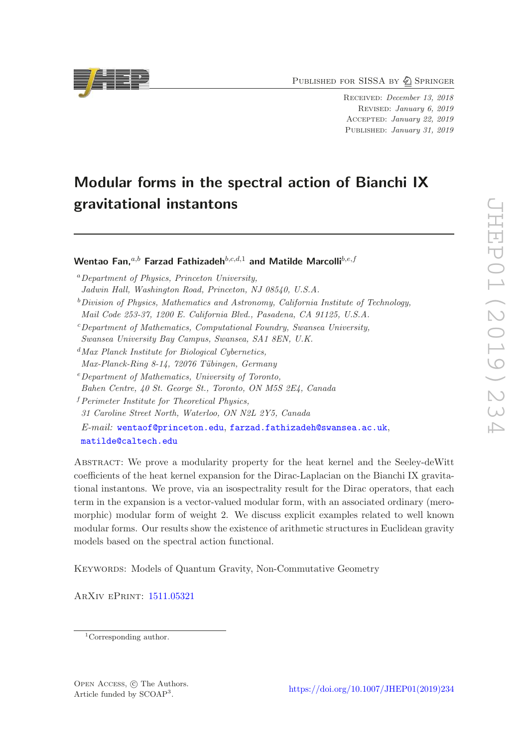PUBLISHED FOR SISSA BY 2 SPRINGER

Received: December 13, 2018 Revised: January 6, 2019 Accepted: January 22, 2019 PUBLISHED: January 31, 2019

# Modular forms in the spectral action of Bianchi IX gravitational instantons

Wentao Fan.<sup>a,b</sup> Farzad Fathizadeh<sup>b,c,d,1</sup> and Matilde Marcollib,e,f

<sup>a</sup>Department of Physics, Princeton University,

- ${}^b$ Division of Physics, Mathematics and Astronomy, California Institute of Technology,
- Mail Code 253-37, 1200 E. California Blvd., Pasadena, CA 91125, U.S.A.
- $c$ Department of Mathematics, Computational Foundry, Swansea University,
- Swansea University Bay Campus, Swansea, SA1 8EN, U.K.
- $d$ Max Planck Institute for Biological Cybernetics, Max-Planck-Ring 8-14, 72076 Tübingen, Germany
- <sup>e</sup>Department of Mathematics, University of Toronto,

Bahen Centre, 40 St. George St., Toronto, ON M5S 2E4, Canada

 $f$  Perimeter Institute for Theoretical Physics,

E-mail: wentaof@princeton.edu, farzad.fathizadeh@swansea.ac.uk, matilde@caltech.edu

Abstract: We prove a modularity property for the heat kernel and the Seeley-deWitt coefficients of the heat kernel expansion for the Dirac-Laplacian on the Bianchi IX gravitational instantons. We prove, via an isospectrality result for the Dirac operators, that each term in the expansion is a vector-valued modular form, with an associated ordinary (meromorphic) modular form of weight 2. We discuss explicit examples related to well known modular forms. Our results show the existence of arithmetic structures in Euclidean gravity models based on the spectral action functional.

KEYWORDS: Models of Quantum Gravity, Non-Commutative Geometry

ArXiv ePrint: 1511.05321





Jadwin Hall, Washington Road, Princeton, NJ 08540, U.S.A.

<sup>31</sup> Caroline Street North, Waterloo, ON N2L 2Y5, Canada

<sup>&</sup>lt;sup>1</sup>Corresponding author.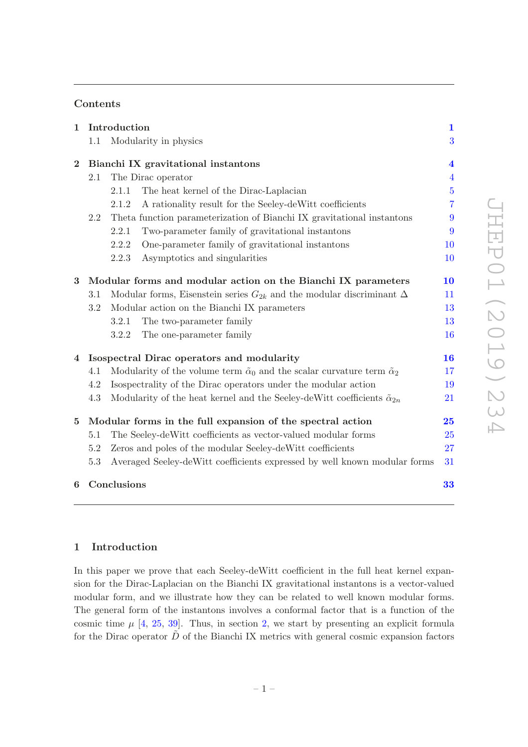# Contents

| $\mathbf{1}$     |                                                               | Introduction                                                                                      | $\mathbf{1}$            |
|------------------|---------------------------------------------------------------|---------------------------------------------------------------------------------------------------|-------------------------|
|                  | 1.1                                                           | Modularity in physics                                                                             | 3                       |
| $\boldsymbol{2}$ | Bianchi IX gravitational instantons                           |                                                                                                   | $\overline{\mathbf{4}}$ |
|                  | 2.1                                                           | The Dirac operator                                                                                | $\overline{4}$          |
|                  |                                                               | The heat kernel of the Dirac-Laplacian<br>2.1.1                                                   | $\overline{5}$          |
|                  |                                                               | A rationality result for the Seeley-deWitt coefficients<br>2.1.2                                  | 7                       |
|                  | 2.2                                                           | Theta function parameterization of Bianchi IX gravitational instantons                            | 9                       |
|                  |                                                               | 2.2.1<br>Two-parameter family of gravitational instantons                                         | 9                       |
|                  |                                                               | One-parameter family of gravitational instantons<br>2.2.2                                         | 10                      |
|                  |                                                               | 2.2.3<br>Asymptotics and singularities                                                            | 10                      |
| 3                | Modular forms and modular action on the Bianchi IX parameters |                                                                                                   | <b>10</b>               |
|                  | 3.1                                                           | Modular forms, Eisenstein series $G_{2k}$ and the modular discriminant $\Delta$                   | 11                      |
|                  | $3.2\,$                                                       | Modular action on the Bianchi IX parameters                                                       | 13                      |
|                  |                                                               | The two-parameter family<br>3.2.1                                                                 | 13                      |
|                  |                                                               | The one-parameter family<br>3.2.2                                                                 | 16                      |
| 4                |                                                               | Isospectral Dirac operators and modularity                                                        | 16                      |
|                  | 4.1                                                           | Modularity of the volume term $\tilde{\alpha}_0$ and the scalar curvature term $\tilde{\alpha}_2$ | 17                      |
|                  | 4.2                                                           | Isospectrality of the Dirac operators under the modular action                                    | 19                      |
|                  | 4.3                                                           | Modularity of the heat kernel and the Seeley-deWitt coefficients $\tilde{\alpha}_{2n}$            | 21                      |
| $\bf{5}$         | Modular forms in the full expansion of the spectral action    |                                                                                                   | 25                      |
|                  | 5.1                                                           | The Seeley-deWitt coefficients as vector-valued modular forms                                     | 25                      |
|                  | 5.2                                                           | Zeros and poles of the modular Seeley-deWitt coefficients                                         | 27                      |
|                  | 5.3                                                           | Averaged Seeley-deWitt coefficients expressed by well known modular forms                         | 31                      |
| 6                |                                                               | Conclusions                                                                                       | 33                      |
|                  |                                                               |                                                                                                   |                         |

# 1 Introduction

In this paper we prove that each Seeley-deWitt coefficient in the full heat kernel expansion for the Dirac-Laplacian on the Bianchi IX gravitational instantons is a vector-valued modular form, and we illustrate how they can be related to well known modular forms. The general form of the instantons involves a conformal factor that is a function of the cosmic time  $\mu$  [4, 25, 39]. Thus, in section 2, we start by presenting an explicit formula for the Dirac operator  $\tilde{D}$  of the Bianchi IX metrics with general cosmic expansion factors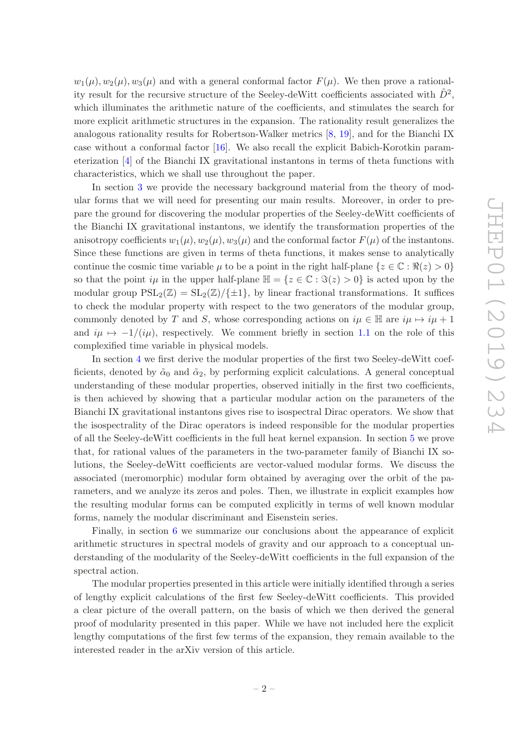$w_1(\mu), w_2(\mu), w_3(\mu)$  and with a general conformal factor  $F(\mu)$ . We then prove a rationality result for the recursive structure of the Seeley-deWitt coefficients associated with  $\tilde{D}^2$ , which illuminates the arithmetic nature of the coefficients, and stimulates the search for more explicit arithmetic structures in the expansion. The rationality result generalizes the analogous rationality results for Robertson-Walker metrics [8, 19], and for the Bianchi IX case without a conformal factor [16]. We also recall the explicit Babich-Korotkin parameterization [4] of the Bianchi IX gravitational instantons in terms of theta functions with characteristics, which we shall use throughout the paper.

In section 3 we provide the necessary background material from the theory of modular forms that we will need for presenting our main results. Moreover, in order to prepare the ground for discovering the modular properties of the Seeley-deWitt coefficients of the Bianchi IX gravitational instantons, we identify the transformation properties of the anisotropy coefficients  $w_1(\mu), w_2(\mu), w_3(\mu)$  and the conformal factor  $F(\mu)$  of the instantons. Since these functions are given in terms of theta functions, it makes sense to analytically continue the cosmic time variable  $\mu$  to be a point in the right half-plane  $\{z \in \mathbb{C} : \Re(z) > 0\}$ so that the point  $i\mu$  in the upper half-plane  $\mathbb{H} = \{z \in \mathbb{C} : \Im(z) > 0\}$  is acted upon by the modular group  $PSL_2(\mathbb{Z}) = SL_2(\mathbb{Z})/\{\pm 1\}$ , by linear fractional transformations. It suffices to check the modular property with respect to the two generators of the modular group, commonly denoted by T and S, whose corresponding actions on  $i\mu \in \mathbb{H}$  are  $i\mu \mapsto i\mu + 1$ and  $i\mu \mapsto -1/(i\mu)$ , respectively. We comment briefly in section 1.1 on the role of this complexified time variable in physical models.

In section 4 we first derive the modular properties of the first two Seeley-deWitt coefficients, denoted by  $\tilde{\alpha}_0$  and  $\tilde{\alpha}_2$ , by performing explicit calculations. A general conceptual understanding of these modular properties, observed initially in the first two coefficients, is then achieved by showing that a particular modular action on the parameters of the Bianchi IX gravitational instantons gives rise to isospectral Dirac operators. We show that the isospectrality of the Dirac operators is indeed responsible for the modular properties of all the Seeley-deWitt coefficients in the full heat kernel expansion. In section 5 we prove that, for rational values of the parameters in the two-parameter family of Bianchi IX solutions, the Seeley-deWitt coefficients are vector-valued modular forms. We discuss the associated (meromorphic) modular form obtained by averaging over the orbit of the parameters, and we analyze its zeros and poles. Then, we illustrate in explicit examples how the resulting modular forms can be computed explicitly in terms of well known modular forms, namely the modular discriminant and Eisenstein series.

Finally, in section 6 we summarize our conclusions about the appearance of explicit arithmetic structures in spectral models of gravity and our approach to a conceptual understanding of the modularity of the Seeley-deWitt coefficients in the full expansion of the spectral action.

The modular properties presented in this article were initially identified through a series of lengthy explicit calculations of the first few Seeley-deWitt coefficients. This provided a clear picture of the overall pattern, on the basis of which we then derived the general proof of modularity presented in this paper. While we have not included here the explicit lengthy computations of the first few terms of the expansion, they remain available to the interested reader in the arXiv version of this article.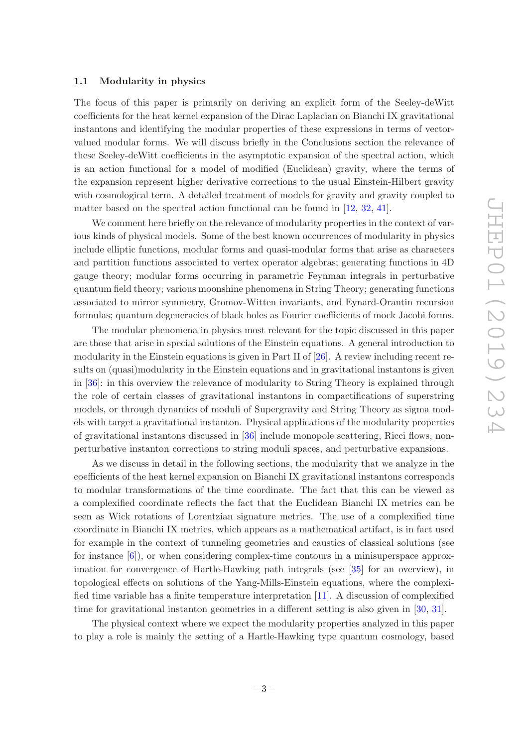#### 1.1 Modularity in physics

The focus of this paper is primarily on deriving an explicit form of the Seeley-deWitt coefficients for the heat kernel expansion of the Dirac Laplacian on Bianchi IX gravitational instantons and identifying the modular properties of these expressions in terms of vectorvalued modular forms. We will discuss briefly in the Conclusions section the relevance of these Seeley-deWitt coefficients in the asymptotic expansion of the spectral action, which is an action functional for a model of modified (Euclidean) gravity, where the terms of the expansion represent higher derivative corrections to the usual Einstein-Hilbert gravity with cosmological term. A detailed treatment of models for gravity and gravity coupled to matter based on the spectral action functional can be found in [12, 32, 41].

We comment here briefly on the relevance of modularity properties in the context of various kinds of physical models. Some of the best known occurrences of modularity in physics include elliptic functions, modular forms and quasi-modular forms that arise as characters and partition functions associated to vertex operator algebras; generating functions in 4D gauge theory; modular forms occurring in parametric Feynman integrals in perturbative quantum field theory; various moonshine phenomena in String Theory; generating functions associated to mirror symmetry, Gromov-Witten invariants, and Eynard-Orantin recursion formulas; quantum degeneracies of black holes as Fourier coefficients of mock Jacobi forms.

The modular phenomena in physics most relevant for the topic discussed in this paper are those that arise in special solutions of the Einstein equations. A general introduction to modularity in the Einstein equations is given in Part II of [26]. A review including recent results on (quasi)modularity in the Einstein equations and in gravitational instantons is given in [36]: in this overview the relevance of modularity to String Theory is explained through the role of certain classes of gravitational instantons in compactifications of superstring models, or through dynamics of moduli of Supergravity and String Theory as sigma models with target a gravitational instanton. Physical applications of the modularity properties of gravitational instantons discussed in [36] include monopole scattering, Ricci flows, nonperturbative instanton corrections to string moduli spaces, and perturbative expansions.

As we discuss in detail in the following sections, the modularity that we analyze in the coefficients of the heat kernel expansion on Bianchi IX gravitational instantons corresponds to modular transformations of the time coordinate. The fact that this can be viewed as a complexified coordinate reflects the fact that the Euclidean Bianchi IX metrics can be seen as Wick rotations of Lorentzian signature metrics. The use of a complexified time coordinate in Bianchi IX metrics, which appears as a mathematical artifact, is in fact used for example in the context of tunneling geometries and caustics of classical solutions (see for instance  $[6]$ , or when considering complex-time contours in a minisuperspace approximation for convergence of Hartle-Hawking path integrals (see [35] for an overview), in topological effects on solutions of the Yang-Mills-Einstein equations, where the complexified time variable has a finite temperature interpretation [11]. A discussion of complexified time for gravitational instanton geometries in a different setting is also given in [30, 31].

The physical context where we expect the modularity properties analyzed in this paper to play a role is mainly the setting of a Hartle-Hawking type quantum cosmology, based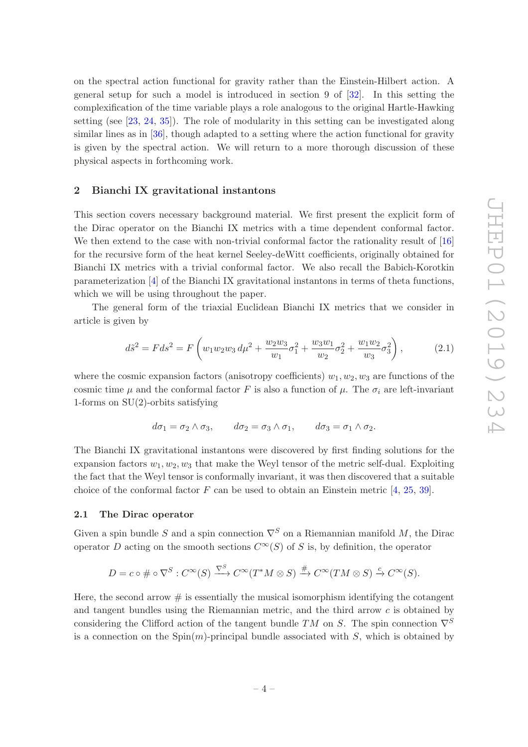on the spectral action functional for gravity rather than the Einstein-Hilbert action. A general setup for such a model is introduced in section 9 of [32]. In this setting the complexification of the time variable plays a role analogous to the original Hartle-Hawking setting (see [23, 24, 35]). The role of modularity in this setting can be investigated along similar lines as in [36], though adapted to a setting where the action functional for gravity is given by the spectral action. We will return to a more thorough discussion of these physical aspects in forthcoming work.

# 2 Bianchi IX gravitational instantons

This section covers necessary background material. We first present the explicit form of the Dirac operator on the Bianchi IX metrics with a time dependent conformal factor. We then extend to the case with non-trivial conformal factor the rationality result of [16] for the recursive form of the heat kernel Seeley-deWitt coefficients, originally obtained for Bianchi IX metrics with a trivial conformal factor. We also recall the Babich-Korotkin parameterization [4] of the Bianchi IX gravitational instantons in terms of theta functions, which we will be using throughout the paper.

The general form of the triaxial Euclidean Bianchi IX metrics that we consider in article is given by

$$
d\tilde{s}^2 = Fds^2 = F\left(w_1w_2w_3\,d\mu^2 + \frac{w_2w_3}{w_1}\sigma_1^2 + \frac{w_3w_1}{w_2}\sigma_2^2 + \frac{w_1w_2}{w_3}\sigma_3^2\right),\tag{2.1}
$$

where the cosmic expansion factors (anisotropy coefficients)  $w_1, w_2, w_3$  are functions of the cosmic time  $\mu$  and the conformal factor F is also a function of  $\mu$ . The  $\sigma_i$  are left-invariant 1-forms on SU(2)-orbits satisfying

$$
d\sigma_1 = \sigma_2 \wedge \sigma_3
$$
,  $d\sigma_2 = \sigma_3 \wedge \sigma_1$ ,  $d\sigma_3 = \sigma_1 \wedge \sigma_2$ .

The Bianchi IX gravitational instantons were discovered by first finding solutions for the expansion factors  $w_1, w_2, w_3$  that make the Weyl tensor of the metric self-dual. Exploiting the fact that the Weyl tensor is conformally invariant, it was then discovered that a suitable choice of the conformal factor F can be used to obtain an Einstein metric  $[4, 25, 39]$ .

## 2.1 The Dirac operator

Given a spin bundle S and a spin connection  $\nabla^S$  on a Riemannian manifold M, the Dirac operator D acting on the smooth sections  $C^{\infty}(S)$  of S is, by definition, the operator

$$
D = c \circ \# \circ \nabla^S : C^{\infty}(S) \xrightarrow{\nabla^S} C^{\infty}(T^*M \otimes S) \xrightarrow{\#} C^{\infty}(TM \otimes S) \xrightarrow{c} C^{\infty}(S).
$$

Here, the second arrow  $\#$  is essentially the musical isomorphism identifying the cotangent and tangent bundles using the Riemannian metric, and the third arrow c is obtained by considering the Clifford action of the tangent bundle TM on S. The spin connection  $\nabla^S$ is a connection on the  $\text{Spin}(m)$ -principal bundle associated with S, which is obtained by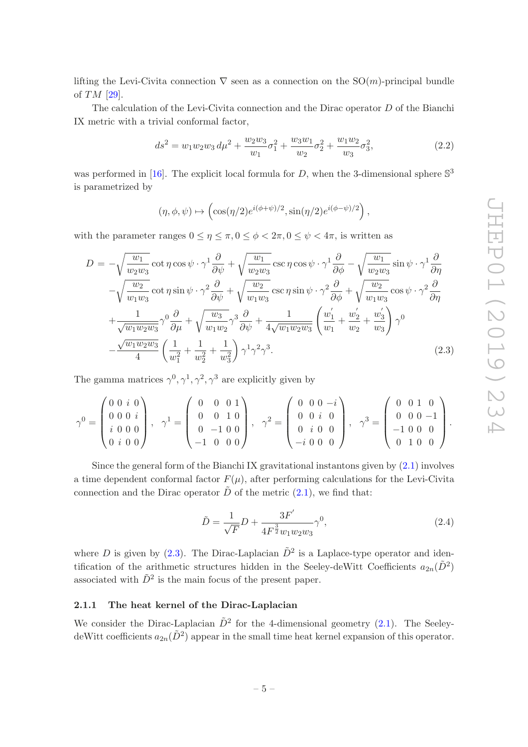lifting the Levi-Civita connection  $\nabla$  seen as a connection on the SO(m)-principal bundle of  $TM$  [29].

The calculation of the Levi-Civita connection and the Dirac operator D of the Bianchi IX metric with a trivial conformal factor,

$$
ds^{2} = w_{1}w_{2}w_{3} d\mu^{2} + \frac{w_{2}w_{3}}{w_{1}} \sigma_{1}^{2} + \frac{w_{3}w_{1}}{w_{2}} \sigma_{2}^{2} + \frac{w_{1}w_{2}}{w_{3}} \sigma_{3}^{2},
$$
\n(2.2)

was performed in [16]. The explicit local formula for D, when the 3-dimensional sphere  $\mathbb{S}^3$ is parametrized by

$$
(\eta, \phi, \psi) \mapsto \left( \cos(\eta/2) e^{i(\phi + \psi)/2}, \sin(\eta/2) e^{i(\phi - \psi)/2} \right),
$$

with the parameter ranges  $0 \le \eta \le \pi, 0 \le \phi < 2\pi, 0 \le \psi < 4\pi$ , is written as

$$
D = -\sqrt{\frac{w_1}{w_2 w_3}} \cot \eta \cos \psi \cdot \gamma^1 \frac{\partial}{\partial \psi} + \sqrt{\frac{w_1}{w_2 w_3}} \csc \eta \cos \psi \cdot \gamma^1 \frac{\partial}{\partial \phi} - \sqrt{\frac{w_1}{w_2 w_3}} \sin \psi \cdot \gamma^1 \frac{\partial}{\partial \eta}
$$

$$
-\sqrt{\frac{w_2}{w_1 w_3}} \cot \eta \sin \psi \cdot \gamma^2 \frac{\partial}{\partial \psi} + \sqrt{\frac{w_2}{w_1 w_3}} \csc \eta \sin \psi \cdot \gamma^2 \frac{\partial}{\partial \phi} + \sqrt{\frac{w_2}{w_1 w_3}} \cos \psi \cdot \gamma^2 \frac{\partial}{\partial \eta}
$$

$$
+\frac{1}{\sqrt{w_1 w_2 w_3}} \gamma^0 \frac{\partial}{\partial \mu} + \sqrt{\frac{w_3}{w_1 w_2}} \gamma^3 \frac{\partial}{\partial \psi} + \frac{1}{4\sqrt{w_1 w_2 w_3}} \left(\frac{w_1'}{w_1} + \frac{w_2'}{w_2} + \frac{w_3'}{w_3}\right) \gamma^0
$$

$$
-\frac{\sqrt{w_1 w_2 w_3}}{4} \left(\frac{1}{w_1^2} + \frac{1}{w_2^2} + \frac{1}{w_3^2}\right) \gamma^1 \gamma^2 \gamma^3. \tag{2.3}
$$

The gamma matrices  $\gamma^0, \gamma^1, \gamma^2, \gamma^3$  are explicitly given by

$$
\gamma^0 = \begin{pmatrix} 0 & 0 & i & 0 \\ 0 & 0 & 0 & i \\ i & 0 & 0 & 0 \\ 0 & i & 0 & 0 \end{pmatrix}, \quad \gamma^1 = \begin{pmatrix} 0 & 0 & 0 & 1 \\ 0 & 0 & 1 & 0 \\ 0 & -1 & 0 & 0 \\ -1 & 0 & 0 & 0 \end{pmatrix}, \quad \gamma^2 = \begin{pmatrix} 0 & 0 & 0 & -i \\ 0 & 0 & i & 0 \\ 0 & i & 0 & 0 \\ -i & 0 & 0 & 0 \end{pmatrix}, \quad \gamma^3 = \begin{pmatrix} 0 & 0 & 1 & 0 \\ 0 & 0 & 0 & -1 \\ -1 & 0 & 0 & 0 \\ 0 & 1 & 0 & 0 \end{pmatrix}.
$$

Since the general form of the Bianchi IX gravitational instantons given by (2.1) involves a time dependent conformal factor  $F(\mu)$ , after performing calculations for the Levi-Civita connection and the Dirac operator  $\tilde{D}$  of the metric (2.1), we find that:

$$
\tilde{D} = \frac{1}{\sqrt{F}} D + \frac{3F'}{4F^{\frac{3}{2}}w_1w_2w_3} \gamma^0,
$$
\n(2.4)

where D is given by (2.3). The Dirac-Laplacian  $\tilde{D}^2$  is a Laplace-type operator and identification of the arithmetic structures hidden in the Seeley-deWitt Coefficients  $a_{2n}(\tilde{D}^2)$ associated with  $\tilde{D}^2$  is the main focus of the present paper.

# 2.1.1 The heat kernel of the Dirac-Laplacian

We consider the Dirac-Laplacian  $\tilde{D}^2$  for the 4-dimensional geometry (2.1). The SeeleydeWitt coefficients  $a_{2n}(\tilde{D}^2)$  appear in the small time heat kernel expansion of this operator.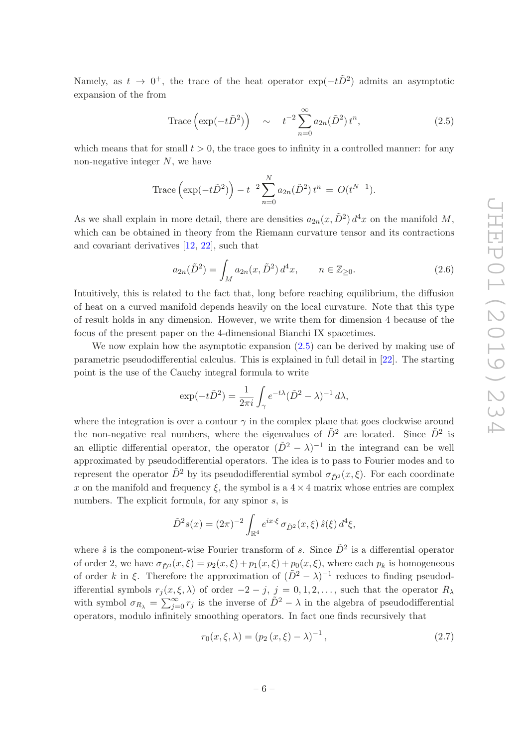Namely, as  $t \to 0^+$ , the trace of the heat operator  $\exp(-t\tilde{D}^2)$  admits an asymptotic expansion of the from

Trace 
$$
\left(\exp(-t\tilde{D}^2)\right) \sim t^{-2} \sum_{n=0}^{\infty} a_{2n}(\tilde{D}^2) t^n,
$$
 (2.5)

which means that for small  $t > 0$ , the trace goes to infinity in a controlled manner: for any non-negative integer  $N$ , we have

Trace 
$$
\left(\exp(-t\tilde{D}^2)\right) - t^{-2} \sum_{n=0}^{N} a_{2n}(\tilde{D}^2) t^n = O(t^{N-1}).
$$

As we shall explain in more detail, there are densities  $a_{2n}(x, \tilde{D}^2) d^4x$  on the manifold M, which can be obtained in theory from the Riemann curvature tensor and its contractions and covariant derivatives [12, 22], such that

$$
a_{2n}(\tilde{D}^2) = \int_M a_{2n}(x, \tilde{D}^2) d^4x, \qquad n \in \mathbb{Z}_{\geq 0}.
$$
 (2.6)

Intuitively, this is related to the fact that, long before reaching equilibrium, the diffusion of heat on a curved manifold depends heavily on the local curvature. Note that this type of result holds in any dimension. However, we write them for dimension 4 because of the focus of the present paper on the 4-dimensional Bianchi IX spacetimes.

We now explain how the asymptotic expansion  $(2.5)$  can be derived by making use of parametric pseudodifferential calculus. This is explained in full detail in [22]. The starting point is the use of the Cauchy integral formula to write

$$
\exp(-t\tilde{D}^2) = \frac{1}{2\pi i} \int_{\gamma} e^{-t\lambda} (\tilde{D}^2 - \lambda)^{-1} d\lambda,
$$

where the integration is over a contour  $\gamma$  in the complex plane that goes clockwise around the non-negative real numbers, where the eigenvalues of  $\tilde{D}^2$  are located. Since  $\tilde{D}^2$  is an elliptic differential operator, the operator  $(D^2 - \lambda)^{-1}$  in the integrand can be well approximated by pseudodifferential operators. The idea is to pass to Fourier modes and to represent the operator  $\tilde{D}^2$  by its pseudodifferential symbol  $\sigma_{\tilde{D}^2}(x,\xi)$ . For each coordinate x on the manifold and frequency  $\xi$ , the symbol is a  $4 \times 4$  matrix whose entries are complex numbers. The explicit formula, for any spinor s, is

$$
\tilde{D}^2 s(x) = (2\pi)^{-2} \int_{\mathbb{R}^4} e^{ix\cdot\xi} \sigma_{\tilde{D}^2}(x,\xi) \,\hat{s}(\xi) \,d^4 \xi,
$$

where  $\hat{s}$  is the component-wise Fourier transform of s. Since  $\tilde{D}^2$  is a differential operator of order 2, we have  $\sigma_{\tilde{D}^2}(x,\xi) = p_2(x,\xi) + p_1(x,\xi) + p_0(x,\xi)$ , where each  $p_k$  is homogeneous of order k in  $\xi$ . Therefore the approximation of  $(D^2 - \lambda)^{-1}$  reduces to finding pseudodifferential symbols  $r_j(x,\xi,\lambda)$  of order  $-2-j$ ,  $j=0,1,2,\ldots$ , such that the operator  $R_\lambda$ with symbol  $\sigma_{R_{\lambda}} = \sum_{j=0}^{\infty} r_j$  is the inverse of  $\tilde{D}^2 - \lambda$  in the algebra of pseudodifferential operators, modulo infinitely smoothing operators. In fact one finds recursively that

$$
r_0(x,\xi,\lambda) = (p_2(x,\xi) - \lambda)^{-1},
$$
\n(2.7)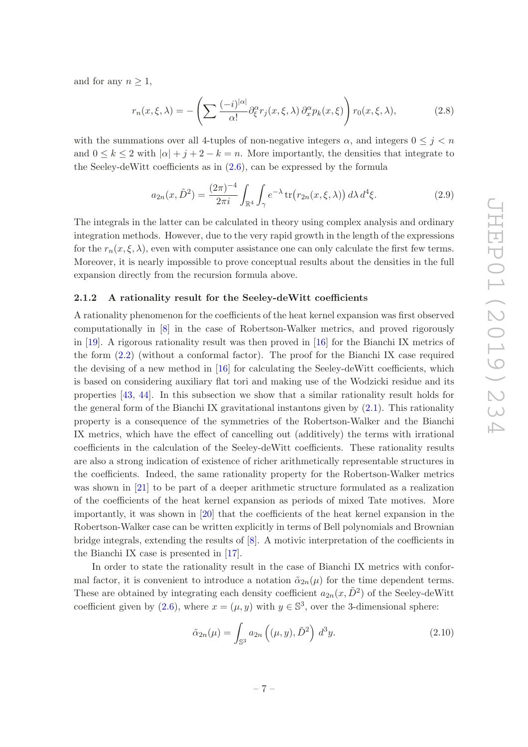and for any  $n \geq 1$ ,

$$
r_n(x,\xi,\lambda) = -\left(\sum \frac{(-i)^{|\alpha|}}{\alpha!} \partial_{\xi}^{\alpha} r_j(x,\xi,\lambda) \partial_x^{\alpha} p_k(x,\xi)\right) r_0(x,\xi,\lambda),\tag{2.8}
$$

with the summations over all 4-tuples of non-negative integers  $\alpha$ , and integers  $0 \leq j < n$ and  $0 \leq k \leq 2$  with  $|\alpha| + j + 2 - k = n$ . More importantly, the densities that integrate to the Seeley-deWitt coefficients as in (2.6), can be expressed by the formula

$$
a_{2n}(x,\tilde{D}^2) = \frac{(2\pi)^{-4}}{2\pi i} \int_{\mathbb{R}^4} \int_{\gamma} e^{-\lambda} \text{tr}(r_{2n}(x,\xi,\lambda)) d\lambda d^4\xi.
$$
 (2.9)

The integrals in the latter can be calculated in theory using complex analysis and ordinary integration methods. However, due to the very rapid growth in the length of the expressions for the  $r_n(x, \xi, \lambda)$ , even with computer assistance one can only calculate the first few terms. Moreover, it is nearly impossible to prove conceptual results about the densities in the full expansion directly from the recursion formula above.

#### 2.1.2 A rationality result for the Seeley-deWitt coefficients

A rationality phenomenon for the coefficients of the heat kernel expansion was first observed computationally in [8] in the case of Robertson-Walker metrics, and proved rigorously in [19]. A rigorous rationality result was then proved in [16] for the Bianchi IX metrics of the form (2.2) (without a conformal factor). The proof for the Bianchi IX case required the devising of a new method in [16] for calculating the Seeley-deWitt coefficients, which is based on considering auxiliary flat tori and making use of the Wodzicki residue and its properties [43, 44]. In this subsection we show that a similar rationality result holds for the general form of the Bianchi IX gravitational instantons given by (2.1). This rationality property is a consequence of the symmetries of the Robertson-Walker and the Bianchi IX metrics, which have the effect of cancelling out (additively) the terms with irrational coefficients in the calculation of the Seeley-deWitt coefficients. These rationality results are also a strong indication of existence of richer arithmetically representable structures in the coefficients. Indeed, the same rationality property for the Robertson-Walker metrics was shown in [21] to be part of a deeper arithmetic structure formulated as a realization of the coefficients of the heat kernel expansion as periods of mixed Tate motives. More importantly, it was shown in [20] that the coefficients of the heat kernel expansion in the Robertson-Walker case can be written explicitly in terms of Bell polynomials and Brownian bridge integrals, extending the results of [8]. A motivic interpretation of the coefficients in the Bianchi IX case is presented in [17].

In order to state the rationality result in the case of Bianchi IX metrics with conformal factor, it is convenient to introduce a notation  $\tilde{\alpha}_{2n}(\mu)$  for the time dependent terms. These are obtained by integrating each density coefficient  $a_{2n}(x, \tilde{D}^2)$  of the Seeley-deWitt coefficient given by (2.6), where  $x = (\mu, y)$  with  $y \in \mathbb{S}^3$ , over the 3-dimensional sphere:

$$
\tilde{\alpha}_{2n}(\mu) = \int_{\mathbb{S}^3} a_{2n} \left( (\mu, y), \tilde{D}^2 \right) d^3 y. \tag{2.10}
$$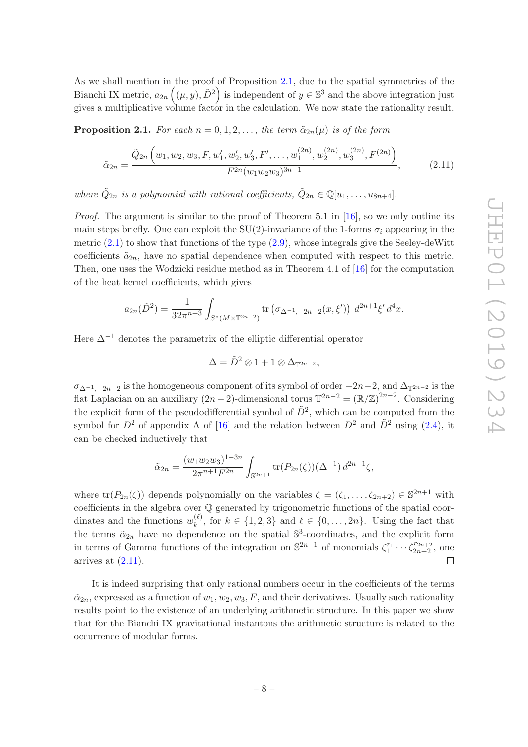As we shall mention in the proof of Proposition 2.1, due to the spatial symmetries of the Bianchi IX metric,  $a_{2n}((\mu, y), \tilde{D}^2)$  is independent of  $y \in \mathbb{S}^3$  and the above integration just gives a multiplicative volume factor in the calculation. We now state the rationality result.

**Proposition 2.1.** For each  $n = 0, 1, 2, \ldots$ , the term  $\tilde{\alpha}_{2n}(\mu)$  is of the form

$$
\tilde{\alpha}_{2n} = \frac{\tilde{Q}_{2n} \left(w_1, w_2, w_3, F, w_1', w_2', w_3', F', \dots, w_1^{(2n)}, w_2^{(2n)}, w_3^{(2n)}, F^{(2n)}\right)}{F^{2n}(w_1 w_2 w_3)^{3n-1}}, \tag{2.11}
$$

where  $\tilde{Q}_{2n}$  is a polynomial with rational coefficients,  $\tilde{Q}_{2n} \in \mathbb{Q}[u_1, \ldots, u_{8n+4}].$ 

Proof. The argument is similar to the proof of Theorem 5.1 in [16], so we only outline its main steps briefly. One can exploit the SU(2)-invariance of the 1-forms  $\sigma_i$  appearing in the metric  $(2.1)$  to show that functions of the type  $(2.9)$ , whose integrals give the Seeley-deWitt coefficients  $\tilde{a}_{2n}$ , have no spatial dependence when computed with respect to this metric. Then, one uses the Wodzicki residue method as in Theorem 4.1 of [16] for the computation of the heat kernel coefficients, which gives

$$
a_{2n}(\tilde{D}^2) = \frac{1}{32\pi^{n+3}} \int_{S^*(M \times \mathbb{T}^{2n-2})} \text{tr}\left(\sigma_{\Delta^{-1},-2n-2}(x,\xi')\right) d^{2n+1}\xi' d^4x.
$$

Here  $\Delta^{-1}$  denotes the parametrix of the elliptic differential operator

$$
\Delta = \tilde{D}^2 \otimes 1 + 1 \otimes \Delta_{\mathbb{T}^{2n-2}},
$$

 $\sigma_{\Delta^{-1},-2n-2}$  is the homogeneous component of its symbol of order  $-2n-2$ , and  $\Delta_{\mathbb{T}^{2n-2}}$  is the flat Laplacian on an auxiliary  $(2n-2)$ -dimensional torus  $\mathbb{T}^{2n-2} = (\mathbb{R}/\mathbb{Z})^{2n-2}$ . Considering the explicit form of the pseudodifferential symbol of  $\tilde{D}^2$ , which can be computed from the symbol for  $D^2$  of appendix A of [16] and the relation between  $D^2$  and  $\tilde{D}^2$  using (2.4), it can be checked inductively that

$$
\tilde{\alpha}_{2n} = \frac{(w_1 w_2 w_3)^{1-3n}}{2\pi^{n+1} F^{2n}} \int_{\mathbb{S}^{2n+1}} \text{tr}(P_{2n}(\zeta))(\Delta^{-1}) d^{2n+1}\zeta,
$$

where  $tr(P_{2n}(\zeta))$  depends polynomially on the variables  $\zeta = (\zeta_1, \ldots, \zeta_{2n+2}) \in \mathbb{S}^{2n+1}$  with coefficients in the algebra over Q generated by trigonometric functions of the spatial coordinates and the functions  $w_k^{(\ell)}$  $\mathcal{L}_{k}^{(t)}$ , for  $k \in \{1, 2, 3\}$  and  $\ell \in \{0, \ldots, 2n\}$ . Using the fact that the terms  $\tilde{\alpha}_{2n}$  have no dependence on the spatial  $\mathbb{S}^3$ -coordinates, and the explicit form in terms of Gamma functions of the integration on  $\mathbb{S}^{2n+1}$  of monomials  $\zeta_1^{r_1} \cdots \zeta_{2n+2}^{r_{2n+2}}$ , one arrives at  $(2.11)$ .  $\Box$ 

It is indeed surprising that only rational numbers occur in the coefficients of the terms  $\tilde{\alpha}_{2n}$ , expressed as a function of  $w_1, w_2, w_3, F$ , and their derivatives. Usually such rationality results point to the existence of an underlying arithmetic structure. In this paper we show that for the Bianchi IX gravitational instantons the arithmetic structure is related to the occurrence of modular forms.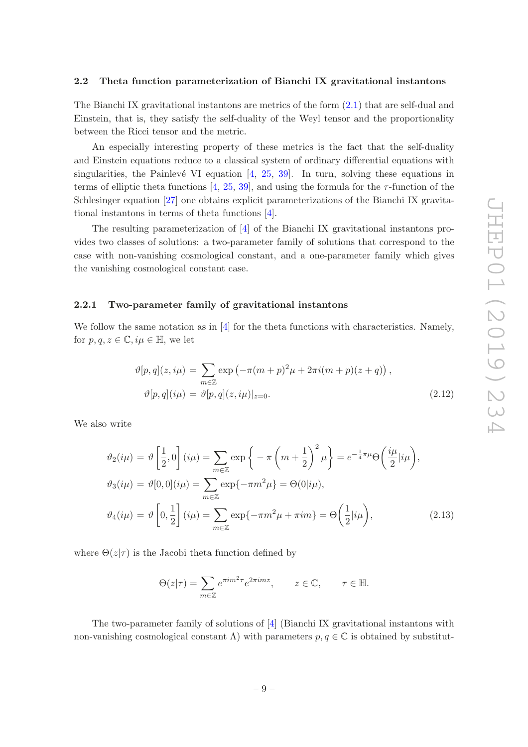# 2.2 Theta function parameterization of Bianchi IX gravitational instantons

The Bianchi IX gravitational instantons are metrics of the form (2.1) that are self-dual and Einstein, that is, they satisfy the self-duality of the Weyl tensor and the proportionality between the Ricci tensor and the metric.

An especially interesting property of these metrics is the fact that the self-duality and Einstein equations reduce to a classical system of ordinary differential equations with singularities, the Painlevé VI equation  $[4, 25, 39]$ . In turn, solving these equations in terms of elliptic theta functions  $[4, 25, 39]$ , and using the formula for the  $\tau$ -function of the Schlesinger equation [27] one obtains explicit parameterizations of the Bianchi IX gravitational instantons in terms of theta functions [4].

The resulting parameterization of [4] of the Bianchi IX gravitational instantons provides two classes of solutions: a two-parameter family of solutions that correspond to the case with non-vanishing cosmological constant, and a one-parameter family which gives the vanishing cosmological constant case.

# 2.2.1 Two-parameter family of gravitational instantons

We follow the same notation as in  $[4]$  for the theta functions with characteristics. Namely, for  $p, q, z \in \mathbb{C}, i\mu \in \mathbb{H}$ , we let

$$
\vartheta[p,q](z,i\mu) = \sum_{m \in \mathbb{Z}} \exp\left(-\pi(m+p)^2\mu + 2\pi i(m+p)(z+q)\right),
$$
  

$$
\vartheta[p,q](i\mu) = \vartheta[p,q](z,i\mu)|_{z=0}.
$$
 (2.12)

We also write

$$
\vartheta_2(i\mu) = \vartheta \left[ \frac{1}{2}, 0 \right] (i\mu) = \sum_{m \in \mathbb{Z}} \exp \left\{ -\pi \left( m + \frac{1}{2} \right)^2 \mu \right\} = e^{-\frac{1}{4}\pi\mu} \Theta \left( \frac{i\mu}{2} | i\mu \right),
$$
  

$$
\vartheta_3(i\mu) = \vartheta[0, 0](i\mu) = \sum_{m \in \mathbb{Z}} \exp \{-\pi m^2 \mu \} = \Theta(0|i\mu),
$$
  

$$
\vartheta_4(i\mu) = \vartheta \left[ 0, \frac{1}{2} \right] (i\mu) = \sum_{m \in \mathbb{Z}} \exp \{-\pi m^2 \mu + \pi i m \} = \Theta \left( \frac{1}{2} | i\mu \right),
$$
 (2.13)

where  $\Theta(z|\tau)$  is the Jacobi theta function defined by

$$
\Theta(z|\tau) = \sum_{m \in \mathbb{Z}} e^{\pi i m^2 \tau} e^{2\pi i m z}, \qquad z \in \mathbb{C}, \qquad \tau \in \mathbb{H}.
$$

The two-parameter family of solutions of [4] (Bianchi IX gravitational instantons with non-vanishing cosmological constant  $\Lambda$ ) with parameters  $p, q \in \mathbb{C}$  is obtained by substitut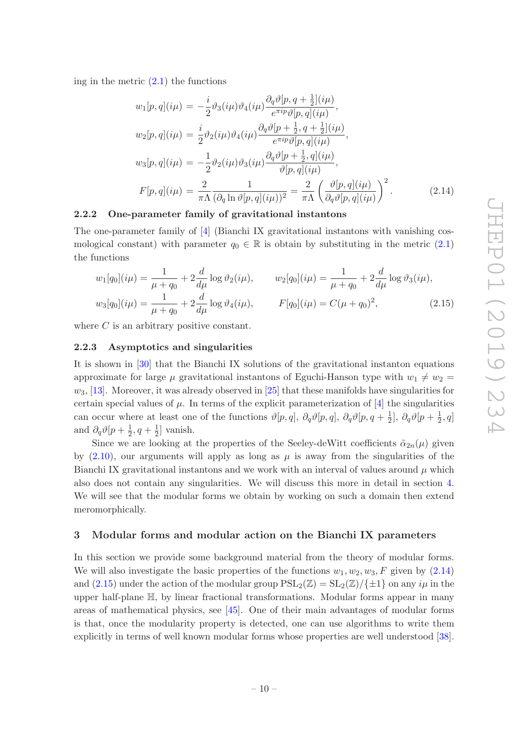ing in the metric  $(2.1)$  the functions

$$
w_{1}[p,q](i\mu) = -\frac{i}{2}\vartheta_{3}(i\mu)\vartheta_{4}(i\mu)\frac{\partial_{q}\vartheta[p,q+\frac{1}{2}](i\mu)}{e^{\pi i p}\vartheta[p,q](i\mu)},
$$
  
\n
$$
w_{2}[p,q](i\mu) = \frac{i}{2}\vartheta_{2}(i\mu)\vartheta_{4}(i\mu)\frac{\partial_{q}\vartheta[p+\frac{1}{2},q+\frac{1}{2}](i\mu)}{e^{\pi i p}\vartheta[p,q](i\mu)},
$$
  
\n
$$
w_{3}[p,q](i\mu) = -\frac{1}{2}\vartheta_{2}(i\mu)\vartheta_{3}(i\mu)\frac{\partial_{q}\vartheta[p+\frac{1}{2},q](i\mu)}{\vartheta[p,q](i\mu)},
$$
  
\n
$$
F[p,q](i\mu) = \frac{2}{\pi\Lambda}\frac{1}{(\partial_{q}\ln\vartheta[p,q](i\mu))^{2}} = \frac{2}{\pi\Lambda}\left(\frac{\vartheta[p,q](i\mu)}{\partial_{q}\vartheta[p,q](i\mu)}\right)^{2}.
$$
 (2.14)

# 2.2.2 One-parameter family of gravitational instantons

The one-parameter family of [4] (Bianchi IX gravitational instantons with vanishing cosmological constant) with parameter  $q_0 \in \mathbb{R}$  is obtain by substituting in the metric (2.1) the functions

$$
w_1[q_0](i\mu) = \frac{1}{\mu + q_0} + 2\frac{d}{d\mu}\log\vartheta_2(i\mu), \qquad w_2[q_0](i\mu) = \frac{1}{\mu + q_0} + 2\frac{d}{d\mu}\log\vartheta_3(i\mu),
$$
  

$$
w_3[q_0](i\mu) = \frac{1}{\mu + q_0} + 2\frac{d}{d\mu}\log\vartheta_4(i\mu), \qquad F[q_0](i\mu) = C(\mu + q_0)^2,
$$
 (2.15)

where C is an arbitrary positive constant.

#### 2.2.3 Asymptotics and singularities

It is shown in [30] that the Bianchi IX solutions of the gravitational instanton equations approximate for large  $\mu$  gravitational instantons of Eguchi-Hanson type with  $w_1 \neq w_2 =$  $w_3$ , [13]. Moreover, it was already observed in [25] that these manifolds have singularities for certain special values of  $\mu$ . In terms of the explicit parameterization of [4] the singularities can occur where at least one of the functions  $\vartheta[p,q], \partial_q\vartheta[p,q], \partial_q\vartheta[p,q+\frac{1}{2}]$  $\frac{1}{2}$ ],  $\partial_q \vartheta[p + \frac{1}{2}]$  $\frac{1}{2}, q$ and  $\partial_q \vartheta[p + \frac{1}{2}]$  $\frac{1}{2}, q + \frac{1}{2}$  $\frac{1}{2}$  vanish.

Since we are looking at the properties of the Seeley-deWitt coefficients  $\tilde{\alpha}_{2n}(\mu)$  given by  $(2.10)$ , our arguments will apply as long as  $\mu$  is away from the singularities of the Bianchi IX gravitational instantons and we work with an interval of values around  $\mu$  which also does not contain any singularities. We will discuss this more in detail in section 4. We will see that the modular forms we obtain by working on such a domain then extend meromorphically.

# 3 Modular forms and modular action on the Bianchi IX parameters

In this section we provide some background material from the theory of modular forms. We will also investigate the basic properties of the functions  $w_1, w_2, w_3, F$  given by  $(2.14)$ and  $(2.15)$  under the action of the modular group  $PSL_2(\mathbb{Z}) = SL_2(\mathbb{Z})/\{\pm 1\}$  on any  $i\mu$  in the upper half-plane H, by linear fractional transformations. Modular forms appear in many areas of mathematical physics, see [45]. One of their main advantages of modular forms is that, once the modularity property is detected, one can use algorithms to write them explicitly in terms of well known modular forms whose properties are well understood [38].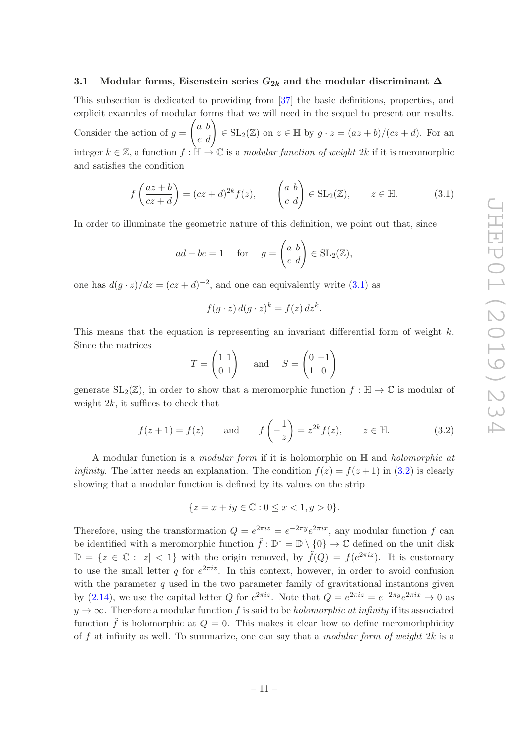# 3.1 Modular forms, Eisenstein series  $G_{2k}$  and the modular discriminant  $\Delta$

This subsection is dedicated to providing from [37] the basic definitions, properties, and explicit examples of modular forms that we will need in the sequel to present our results. Consider the action of  $g =$  $\begin{pmatrix} a & b \\ c & d \end{pmatrix} \in SL_2(\mathbb{Z})$  on  $z \in \mathbb{H}$  by  $g \cdot z = (az + b)/(cz + d)$ . For an integer  $k \in \mathbb{Z}$ , a function  $f : \mathbb{H} \to \mathbb{C}$  is a *modular function of weight 2k* if it is meromorphic and satisfies the condition

$$
f\left(\frac{az+b}{cz+d}\right) = (cz+d)^{2k} f(z), \qquad \begin{pmatrix} a & b \\ c & d \end{pmatrix} \in SL_2(\mathbb{Z}), \qquad z \in \mathbb{H}.
$$
 (3.1)

In order to illuminate the geometric nature of this definition, we point out that, since

$$
ad - bc = 1
$$
 for  $g = \begin{pmatrix} a & b \\ c & d \end{pmatrix} \in SL_2(\mathbb{Z}),$ 

one has  $d(g \cdot z)/dz = (cz + d)^{-2}$ , and one can equivalently write (3.1) as

$$
f(g \cdot z) d(g \cdot z)^k = f(z) dz^k.
$$

This means that the equation is representing an invariant differential form of weight  $k$ . Since the matrices

$$
T = \begin{pmatrix} 1 & 1 \\ 0 & 1 \end{pmatrix} \quad \text{and} \quad S = \begin{pmatrix} 0 & -1 \\ 1 & 0 \end{pmatrix}
$$

generate  $SL_2(\mathbb{Z})$ , in order to show that a meromorphic function  $f : \mathbb{H} \to \mathbb{C}$  is modular of weight  $2k$ , it suffices to check that

$$
f(z+1) = f(z) \qquad \text{and} \qquad f\left(-\frac{1}{z}\right) = z^{2k} f(z), \qquad z \in \mathbb{H}.
$$
 (3.2)

A modular function is a modular form if it is holomorphic on H and holomorphic at *infinity*. The latter needs an explanation. The condition  $f(z) = f(z+1)$  in (3.2) is clearly showing that a modular function is defined by its values on the strip

$$
\{z = x + iy \in \mathbb{C} : 0 \le x < 1, y > 0\}.
$$

Therefore, using the transformation  $Q = e^{2\pi i z} = e^{-2\pi y}e^{2\pi i x}$ , any modular function f can be identified with a meromorphic function  $\tilde{f} : \mathbb{D}^* = \mathbb{D} \setminus \{0\} \to \mathbb{C}$  defined on the unit disk  $\mathbb{D} = \{z \in \mathbb{C} : |z| < 1\}$  with the origin removed, by  $\tilde{f}(Q) = f(e^{2\pi i z})$ . It is customary to use the small letter q for  $e^{2\pi i z}$ . In this context, however, in order to avoid confusion with the parameter  $q$  used in the two parameter family of gravitational instantons given by (2.14), we use the capital letter Q for  $e^{2\pi i z}$ . Note that  $Q = e^{2\pi i z} = e^{-2\pi y}e^{2\pi i x} \to 0$  as  $y \rightarrow \infty$ . Therefore a modular function f is said to be *holomorphic at infinity* if its associated function  $\tilde{f}$  is holomorphic at  $Q = 0$ . This makes it clear how to define meromorhphicity of f at infinity as well. To summarize, one can say that a modular form of weight  $2k$  is a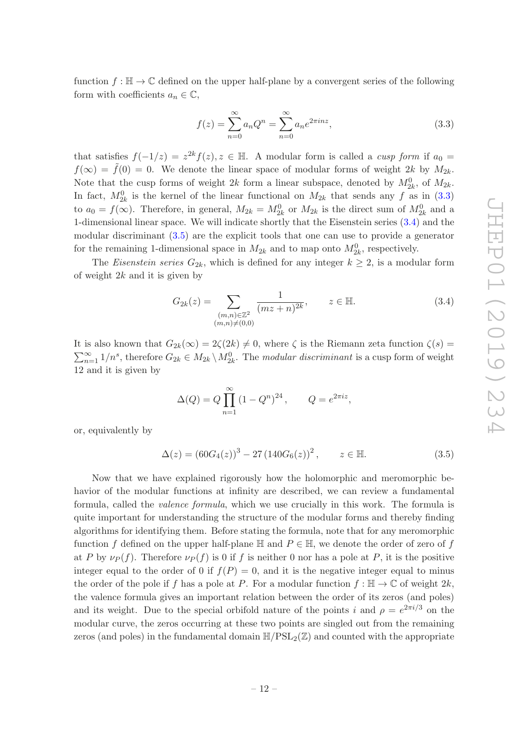function  $f : \mathbb{H} \to \mathbb{C}$  defined on the upper half-plane by a convergent series of the following form with coefficients  $a_n \in \mathbb{C}$ ,

$$
f(z) = \sum_{n=0}^{\infty} a_n Q^n = \sum_{n=0}^{\infty} a_n e^{2\pi i n z},
$$
\n(3.3)

that satisfies  $f(-1/z) = z^{2k} f(z)$ ,  $z \in \mathbb{H}$ . A modular form is called a cusp form if  $a_0 =$  $f(\infty) = \tilde{f}(0) = 0$ . We denote the linear space of modular forms of weight 2k by  $M_{2k}$ . Note that the cusp forms of weight 2k form a linear subspace, denoted by  $M_{2k}^0$ , of  $M_{2k}$ . In fact,  $M_{2k}^0$  is the kernel of the linear functional on  $M_{2k}$  that sends any f as in (3.3) to  $a_0 = f(\infty)$ . Therefore, in general,  $M_{2k} = M_{2k}^0$  or  $M_{2k}$  is the direct sum of  $M_{2k}^0$  and a 1-dimensional linear space. We will indicate shortly that the Eisenstein series (3.4) and the modular discriminant (3.5) are the explicit tools that one can use to provide a generator for the remaining 1-dimensional space in  $M_{2k}$  and to map onto  $M_{2k}^0$ , respectively.

The Eisenstein series  $G_{2k}$ , which is defined for any integer  $k \geq 2$ , is a modular form of weight  $2k$  and it is given by

$$
G_{2k}(z) = \sum_{\substack{(m,n)\in\mathbb{Z}^2\\(m,n)\neq(0,0)}}\frac{1}{(mz+n)^{2k}}, \qquad z \in \mathbb{H}.
$$
 (3.4)

It is also known that  $G_{2k}(\infty) = 2\zeta(2k) \neq 0$ , where  $\zeta$  is the Riemann zeta function  $\zeta(s)$  =  $\sum_{n=1}^{\infty} 1/n^s$ , therefore  $G_{2k} \in M_{2k} \setminus M_{2k}^0$ . The modular discriminant is a cusp form of weight 12 and it is given by

$$
\Delta(Q) = Q \prod_{n=1}^{\infty} (1 - Q^n)^{24}, \qquad Q = e^{2\pi i z},
$$

or, equivalently by

$$
\Delta(z) = (60G_4(z))^3 - 27(140G_6(z))^2, \qquad z \in \mathbb{H}.
$$
 (3.5)

Now that we have explained rigorously how the holomorphic and meromorphic behavior of the modular functions at infinity are described, we can review a fundamental formula, called the valence formula, which we use crucially in this work. The formula is quite important for understanding the structure of the modular forms and thereby finding algorithms for identifying them. Before stating the formula, note that for any meromorphic function f defined on the upper half-plane  $\mathbb H$  and  $P \in \mathbb H$ , we denote the order of zero of f at P by  $\nu_P(f)$ . Therefore  $\nu_P(f)$  is 0 if f is neither 0 nor has a pole at P, it is the positive integer equal to the order of 0 if  $f(P) = 0$ , and it is the negative integer equal to minus the order of the pole if f has a pole at P. For a modular function  $f : \mathbb{H} \to \mathbb{C}$  of weight  $2k$ , the valence formula gives an important relation between the order of its zeros (and poles) and its weight. Due to the special orbifold nature of the points i and  $\rho = e^{2\pi i/3}$  on the modular curve, the zeros occurring at these two points are singled out from the remaining zeros (and poles) in the fundamental domain  $\mathbb{H}/PSL_2(\mathbb{Z})$  and counted with the appropriate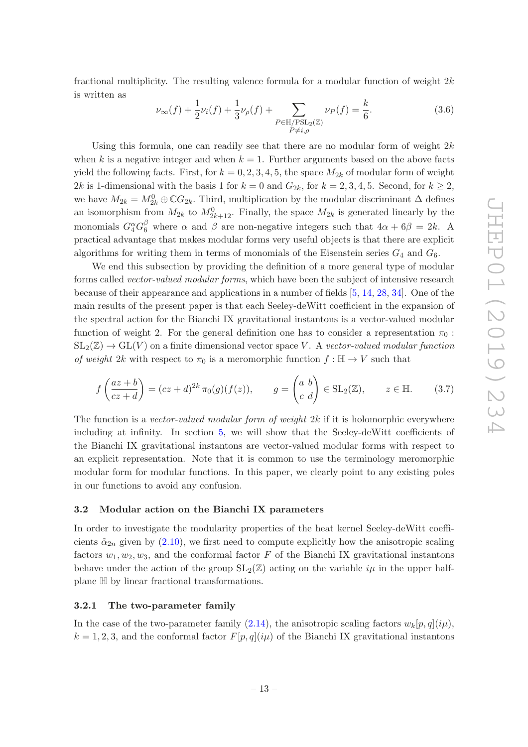fractional multiplicity. The resulting valence formula for a modular function of weight  $2k$ is written as

$$
\nu_{\infty}(f) + \frac{1}{2}\nu_i(f) + \frac{1}{3}\nu_{\rho}(f) + \sum_{\substack{P \in \mathbb{H}/\mathrm{PSL}_2(\mathbb{Z}) \\ P \neq i, \rho}} \nu_P(f) = \frac{k}{6}.
$$
 (3.6)

Using this formula, one can readily see that there are no modular form of weight  $2k$ when k is a negative integer and when  $k = 1$ . Further arguments based on the above facts yield the following facts. First, for  $k = 0, 2, 3, 4, 5$ , the space  $M_{2k}$  of modular form of weight 2k is 1-dimensional with the basis 1 for  $k = 0$  and  $G_{2k}$ , for  $k = 2, 3, 4, 5$ . Second, for  $k \ge 2$ , we have  $M_{2k} = M_{2k}^0 \oplus \mathbb{C}G_{2k}$ . Third, multiplication by the modular discriminant  $\Delta$  defines an isomorphism from  $M_{2k}$  to  $M_{2k+12}^0$ . Finally, the space  $M_{2k}$  is generated linearly by the monomials  $G_4^{\alpha}G_6^{\beta}$  where  $\alpha$  and  $\beta$  are non-negative integers such that  $4\alpha + 6\beta = 2k$ . A practical advantage that makes modular forms very useful objects is that there are explicit algorithms for writing them in terms of monomials of the Eisenstein series  $G_4$  and  $G_6$ .

We end this subsection by providing the definition of a more general type of modular forms called vector-valued modular forms, which have been the subject of intensive research because of their appearance and applications in a number of fields [5, 14, 28, 34]. One of the main results of the present paper is that each Seeley-deWitt coefficient in the expansion of the spectral action for the Bianchi IX gravitational instantons is a vector-valued modular function of weight 2. For the general definition one has to consider a representation  $\pi_0$ :  $SL_2(\mathbb{Z}) \to GL(V)$  on a finite dimensional vector space V. A vector-valued modular function of weight 2k with respect to  $\pi_0$  is a meromorphic function  $f : \mathbb{H} \to V$  such that

$$
f\left(\frac{az+b}{cz+d}\right) = (cz+d)^{2k} \pi_0(g)(f(z)), \qquad g = \begin{pmatrix} a & b \\ c & d \end{pmatrix} \in SL_2(\mathbb{Z}), \qquad z \in \mathbb{H}.
$$
 (3.7)

The function is a *vector-valued modular form of weight 2k* if it is holomorphic everywhere including at infinity. In section 5, we will show that the Seeley-deWitt coefficients of the Bianchi IX gravitational instantons are vector-valued modular forms with respect to an explicit representation. Note that it is common to use the terminology meromorphic modular form for modular functions. In this paper, we clearly point to any existing poles in our functions to avoid any confusion.

#### 3.2 Modular action on the Bianchi IX parameters

In order to investigate the modularity properties of the heat kernel Seeley-deWitt coefficients  $\tilde{\alpha}_{2n}$  given by (2.10), we first need to compute explicitly how the anisotropic scaling factors  $w_1, w_2, w_3$ , and the conformal factor F of the Bianchi IX gravitational instantons behave under the action of the group  $SL_2(\mathbb{Z})$  acting on the variable  $i\mu$  in the upper halfplane H by linear fractional transformations.

# 3.2.1 The two-parameter family

In the case of the two-parameter family (2.14), the anisotropic scaling factors  $w_k[p,q](i\mu)$ ,  $k = 1, 2, 3$ , and the conformal factor  $F[p, q](i\mu)$  of the Bianchi IX gravitational instantons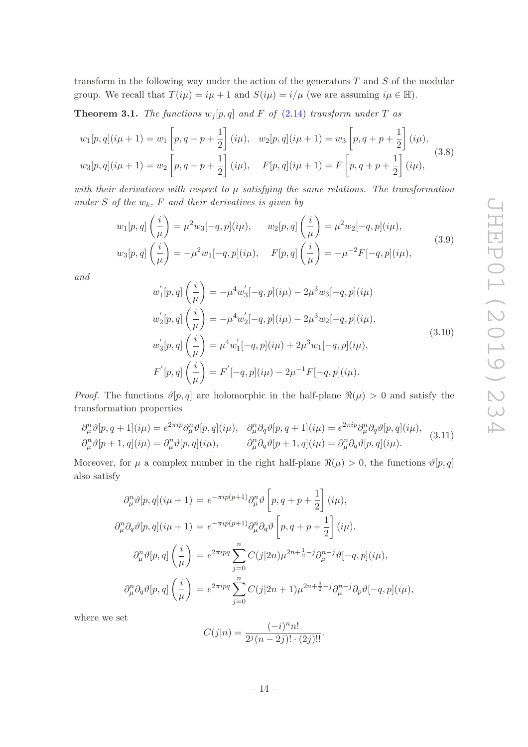transform in the following way under the action of the generators  $T$  and  $S$  of the modular group. We recall that  $T(i\mu) = i\mu + 1$  and  $S(i\mu) = i/\mu$  (we are assuming  $i\mu \in \mathbb{H}$ ).

**Theorem 3.1.** The functions  $w_j[p,q]$  and F of (2.14) transform under T as

$$
w_1[p,q](i\mu + 1) = w_1 \left[ p, q + p + \frac{1}{2} \right](i\mu), \quad w_2[p,q](i\mu + 1) = w_3 \left[ p, q + p + \frac{1}{2} \right](i\mu),
$$
  
\n
$$
w_3[p,q](i\mu + 1) = w_2 \left[ p, q + p + \frac{1}{2} \right](i\mu), \quad F[p,q](i\mu + 1) = F \left[ p, q + p + \frac{1}{2} \right](i\mu),
$$
\n(3.8)

with their derivatives with respect to  $\mu$  satisfying the same relations. The transformation under S of the  $w_k$ , F and their derivatives is given by

$$
w_1[p,q] \left(\frac{i}{\mu}\right) = \mu^2 w_3[-q,p](i\mu), \qquad w_2[p,q] \left(\frac{i}{\mu}\right) = \mu^2 w_2[-q,p](i\mu),
$$
  
\n
$$
w_3[p,q] \left(\frac{i}{\mu}\right) = -\mu^2 w_1[-q,p](i\mu), \qquad F[p,q] \left(\frac{i}{\mu}\right) = -\mu^{-2} F[-q,p](i\mu),
$$
\n(3.9)

and

$$
w'_1[p,q] \left(\frac{i}{\mu}\right) = -\mu^4 w'_3[-q,p](i\mu) - 2\mu^3 w_3[-q,p](i\mu)
$$
  
\n
$$
w'_2[p,q] \left(\frac{i}{\mu}\right) = -\mu^4 w'_2[-q,p](i\mu) - 2\mu^3 w_2[-q,p](i\mu),
$$
  
\n
$$
w'_3[p,q] \left(\frac{i}{\mu}\right) = \mu^4 w'_1[-q,p](i\mu) + 2\mu^3 w_1[-q,p](i\mu),
$$
  
\n
$$
F'[p,q] \left(\frac{i}{\mu}\right) = F'[-q,p](i\mu) - 2\mu^{-1}F[-q,p](i\mu).
$$
\n(3.10)

*Proof.* The functions  $\vartheta[p,q]$  are holomorphic in the half-plane  $\Re(\mu) > 0$  and satisfy the transformation properties

$$
\partial_{\mu}^{n} \vartheta[p, q+1](i\mu) = e^{2\pi i p} \partial_{\mu}^{n} \vartheta[p, q](i\mu), \quad \partial_{\mu}^{n} \partial_{q} \vartheta[p, q+1](i\mu) = e^{2\pi i p} \partial_{\mu}^{n} \partial_{q} \vartheta[p, q](i\mu),
$$
  

$$
\partial_{\mu}^{n} \vartheta[p+1, q](i\mu) = \partial_{\mu}^{n} \vartheta[p, q](i\mu), \qquad \partial_{\mu}^{n} \partial_{q} \vartheta[p+1, q](i\mu) = \partial_{\mu}^{n} \partial_{q} \vartheta[p, q](i\mu).
$$
 (3.11)

Moreover, for  $\mu$  a complex number in the right half-plane  $\Re(\mu) > 0$ , the functions  $\vartheta[p,q]$ also satisfy

$$
\partial_{\mu}^{n} \partial [p, q](i\mu + 1) = e^{-\pi i p(p+1)} \partial_{\mu}^{n} \partial \left[ p, q + p + \frac{1}{2} \right](i\mu),
$$
  
\n
$$
\partial_{\mu}^{n} \partial_{q} \partial [p, q](i\mu + 1) = e^{-\pi i p(p+1)} \partial_{\mu}^{n} \partial_{q} \partial \left[ p, q + p + \frac{1}{2} \right](i\mu),
$$
  
\n
$$
\partial_{\mu}^{n} \partial [p, q] \left( \frac{i}{\mu} \right) = e^{2\pi i p q} \sum_{j=0}^{n} C(j|2n) \mu^{2n + \frac{1}{2} - j} \partial_{\mu}^{n - j} \partial [-q, p](i\mu),
$$
  
\n
$$
\partial_{\mu}^{n} \partial_{q} \partial [p, q] \left( \frac{i}{\mu} \right) = e^{2\pi i p q} \sum_{j=0}^{n} C(j|2n + 1) \mu^{2n + \frac{3}{2} - j} \partial_{\mu}^{n - j} \partial_{p} \partial [-q, p](i\mu),
$$

where we set

$$
C(j|n) = \frac{(-i)^n n!}{2^j (n-2j)! \cdot (2j)!!}.
$$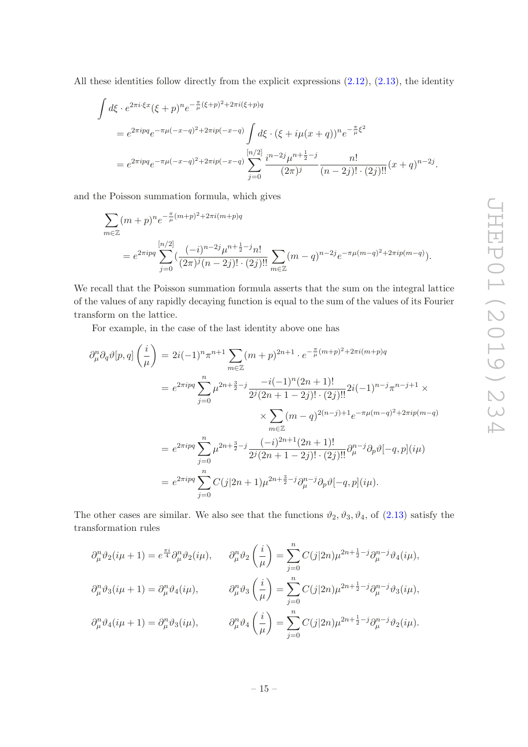All these identities follow directly from the explicit expressions (2.12), (2.13), the identity

$$
\int d\xi \cdot e^{2\pi i \cdot \xi x} (\xi + p)^n e^{-\frac{\pi}{\mu} (\xi + p)^2 + 2\pi i (\xi + p) q}
$$
\n
$$
= e^{2\pi i p q} e^{-\pi \mu (-x - q)^2 + 2\pi i p (-x - q)} \int d\xi \cdot (\xi + i\mu (x + q))^n e^{-\frac{\pi}{\mu} \xi^2}
$$
\n
$$
= e^{2\pi i p q} e^{-\pi \mu (-x - q)^2 + 2\pi i p (-x - q)} \sum_{j=0}^{[n/2]} \frac{i^{n-2j} \mu^{n+\frac{1}{2} - j}}{(2\pi)^j} \frac{n!}{(n-2j)! \cdot (2j)!!} (x + q)^{n-2j}.
$$

and the Poisson summation formula, which gives

$$
\sum_{m \in \mathbb{Z}} (m+p)^n e^{-\frac{\pi}{\mu}(m+p)^2 + 2\pi i(m+p)q}
$$
\n
$$
= e^{2\pi i p q} \sum_{j=0}^{[n/2]} \left(\frac{(-i)^{n-2j} \mu^{n+\frac{1}{2}-j} n!}{(2\pi)^j (n-2j)! \cdot (2j)!!} \sum_{m \in \mathbb{Z}} (m-q)^{n-2j} e^{-\pi \mu (m-q)^2 + 2\pi i p(m-q)}\right).
$$

We recall that the Poisson summation formula asserts that the sum on the integral lattice of the values of any rapidly decaying function is equal to the sum of the values of its Fourier transform on the lattice.

For example, in the case of the last identity above one has

$$
\partial_{\mu}^{n} \partial_{q} \vartheta[p,q] \left(\frac{i}{\mu}\right) = 2i(-1)^{n} \pi^{n+1} \sum_{m \in \mathbb{Z}} (m+p)^{2n+1} \cdot e^{-\frac{\pi}{\mu}(m+p)^{2} + 2\pi i(m+p)q}
$$
  
\n
$$
= e^{2\pi i p q} \sum_{j=0}^{n} \mu^{2n+\frac{3}{2}-j} \frac{-i(-1)^{n}(2n+1)!}{2^{j}(2n+1-2j)! \cdot (2j)!!} 2i(-1)^{n-j} \pi^{n-j+1} \times
$$
  
\n
$$
\times \sum_{m \in \mathbb{Z}} (m-q)^{2(n-j)+1} e^{-\pi \mu(m-q)^{2} + 2\pi i p(m-q)}
$$
  
\n
$$
= e^{2\pi i p q} \sum_{j=0}^{n} \mu^{2n+\frac{3}{2}-j} \frac{(-i)^{2n+1}(2n+1)!}{2^{j}(2n+1-2j)! \cdot (2j)!!} \partial_{\mu}^{n-j} \partial_{p} \vartheta[-q,p](i\mu)
$$
  
\n
$$
= e^{2\pi i p q} \sum_{j=0}^{n} C(j|2n+1) \mu^{2n+\frac{3}{2}-j} \partial_{\mu}^{n-j} \partial_{p} \vartheta[-q,p](i\mu).
$$

The other cases are similar. We also see that the functions  $\vartheta_2, \vartheta_3, \vartheta_4$ , of (2.13) satisfy the transformation rules

$$
\partial_{\mu}^{n} \partial_{2} (i\mu + 1) = e^{\frac{\pi i}{4}} \partial_{\mu}^{n} \partial_{2} (i\mu), \qquad \partial_{\mu}^{n} \partial_{2} \left(\frac{i}{\mu}\right) = \sum_{j=0}^{n} C(j|2n) \mu^{2n + \frac{1}{2} - j} \partial_{\mu}^{n-j} \partial_{4} (i\mu),
$$
  

$$
\partial_{\mu}^{n} \partial_{3} (i\mu + 1) = \partial_{\mu}^{n} \partial_{4} (i\mu), \qquad \partial_{\mu}^{n} \partial_{3} \left(\frac{i}{\mu}\right) = \sum_{j=0}^{n} C(j|2n) \mu^{2n + \frac{1}{2} - j} \partial_{\mu}^{n-j} \partial_{3} (i\mu),
$$
  

$$
\partial_{\mu}^{n} \partial_{4} (i\mu + 1) = \partial_{\mu}^{n} \partial_{3} (i\mu), \qquad \partial_{\mu}^{n} \partial_{4} \left(\frac{i}{\mu}\right) = \sum_{j=0}^{n} C(j|2n) \mu^{2n + \frac{1}{2} - j} \partial_{\mu}^{n-j} \partial_{2} (i\mu).
$$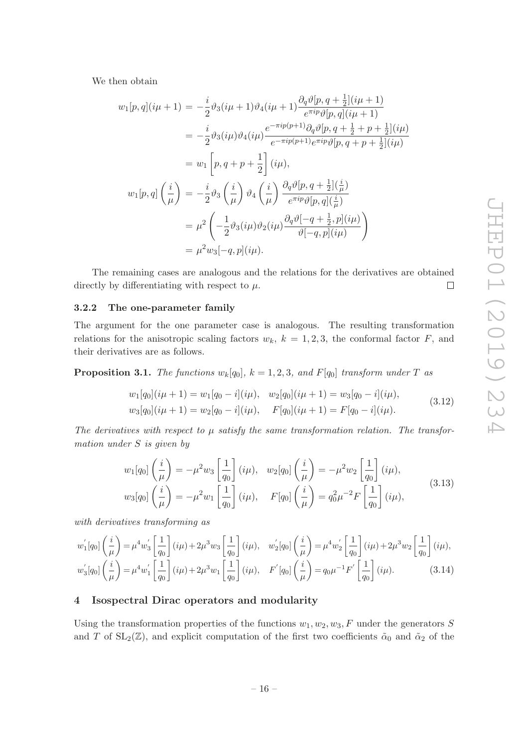We then obtain

$$
w_{1}[p,q](i\mu+1) = -\frac{i}{2}\vartheta_{3}(i\mu+1)\vartheta_{4}(i\mu+1)\frac{\partial_{q}\vartheta[p,q+\frac{1}{2}](i\mu+1)}{e^{\pi ip}\vartheta[p,q](i\mu+1)}
$$
  
\n
$$
= -\frac{i}{2}\vartheta_{3}(i\mu)\vartheta_{4}(i\mu)\frac{e^{-\pi ip(p+1)}\partial_{q}\vartheta[p,q+\frac{1}{2}+p+\frac{1}{2}](i\mu)}{e^{-\pi ip(p+1)}e^{\pi ip}\vartheta[p,q+p+\frac{1}{2}](i\mu)}
$$
  
\n
$$
= w_{1}\left[p,q+p+\frac{1}{2}\right](i\mu),
$$
  
\n
$$
w_{1}[p,q]\left(\frac{i}{\mu}\right) = -\frac{i}{2}\vartheta_{3}\left(\frac{i}{\mu}\right)\vartheta_{4}\left(\frac{i}{\mu}\right)\frac{\partial_{q}\vartheta[p,q+\frac{1}{2}](\frac{i}{\mu})}{e^{\pi ip}\vartheta[p,q](\frac{i}{\mu})}
$$
  
\n
$$
= \mu^{2}\left(-\frac{1}{2}\vartheta_{3}(i\mu)\vartheta_{2}(i\mu)\frac{\partial_{q}\vartheta[-q+\frac{1}{2},p](i\mu)}{\vartheta[-q,p](i\mu)}\right)
$$
  
\n
$$
= \mu^{2}w_{3}[-q,p](i\mu).
$$

The remaining cases are analogous and the relations for the derivatives are obtained directly by differentiating with respect to  $\mu$ .  $\Box$ 

# 3.2.2 The one-parameter family

The argument for the one parameter case is analogous. The resulting transformation relations for the anisotropic scaling factors  $w_k$ ,  $k = 1, 2, 3$ , the conformal factor F, and their derivatives are as follows.

**Proposition 3.1.** The functions  $w_k[q_0], k = 1, 2, 3,$  and  $F[q_0]$  transform under T as

$$
w_1[q_0](i\mu + 1) = w_1[q_0 - i](i\mu), \quad w_2[q_0](i\mu + 1) = w_3[q_0 - i](i\mu),
$$
  
\n
$$
w_3[q_0](i\mu + 1) = w_2[q_0 - i](i\mu), \quad F[q_0](i\mu + 1) = F[q_0 - i](i\mu).
$$
\n(3.12)

The derivatives with respect to  $\mu$  satisfy the same transformation relation. The transformation under S is given by

$$
w_1[q_0] \left(\frac{i}{\mu}\right) = -\mu^2 w_3 \left[\frac{1}{q_0}\right](i\mu), \quad w_2[q_0] \left(\frac{i}{\mu}\right) = -\mu^2 w_2 \left[\frac{1}{q_0}\right](i\mu),
$$
  

$$
w_3[q_0] \left(\frac{i}{\mu}\right) = -\mu^2 w_1 \left[\frac{1}{q_0}\right](i\mu), \quad F[q_0] \left(\frac{i}{\mu}\right) = q_0^2 \mu^{-2} F \left[\frac{1}{q_0}\right](i\mu),
$$
\n(3.13)

with derivatives transforming as

$$
w_{1}^{'}[q_{0}]\left(\frac{i}{\mu}\right) = \mu^{4}w_{3}^{'}\left[\frac{1}{q_{0}}\right](i\mu) + 2\mu^{3}w_{3}\left[\frac{1}{q_{0}}\right](i\mu), \quad w_{2}^{'}[q_{0}]\left(\frac{i}{\mu}\right) = \mu^{4}w_{2}^{'}\left[\frac{1}{q_{0}}\right](i\mu) + 2\mu^{3}w_{2}\left[\frac{1}{q_{0}}\right](i\mu),
$$
  

$$
w_{3}^{'}[q_{0}]\left(\frac{i}{\mu}\right) = \mu^{4}w_{1}^{'}\left[\frac{1}{q_{0}}\right](i\mu) + 2\mu^{3}w_{1}\left[\frac{1}{q_{0}}\right](i\mu), \quad F^{'}[q_{0}]\left(\frac{i}{\mu}\right) = q_{0}\mu^{-1}F^{'}\left[\frac{1}{q_{0}}\right](i\mu).
$$
 (3.14)

# 4 Isospectral Dirac operators and modularity

Using the transformation properties of the functions  $w_1, w_2, w_3, F$  under the generators S and T of  $SL_2(\mathbb{Z})$ , and explicit computation of the first two coefficients  $\tilde{\alpha}_0$  and  $\tilde{\alpha}_2$  of the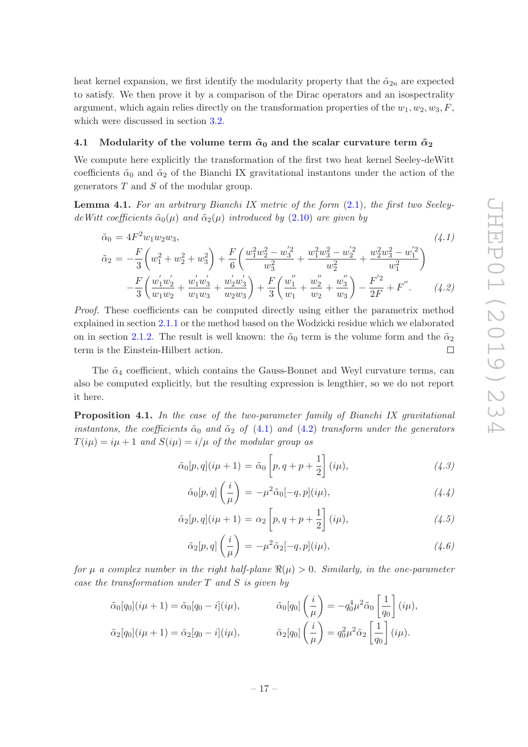heat kernel expansion, we first identify the modularity property that the  $\tilde{\alpha}_{2n}$  are expected to satisfy. We then prove it by a comparison of the Dirac operators and an isospectrality argument, which again relies directly on the transformation properties of the  $w_1, w_2, w_3, F$ , which were discussed in section  $3.2$ .

# 4.1 Modularity of the volume term  $\tilde{\alpha}_0$  and the scalar curvature term  $\tilde{\alpha}_2$

We compute here explicitly the transformation of the first two heat kernel Seeley-deWitt coefficients  $\tilde{\alpha}_0$  and  $\tilde{\alpha}_2$  of the Bianchi IX gravitational instantons under the action of the generators  $T$  and  $S$  of the modular group.

**Lemma 4.1.** For an arbitrary Bianchi IX metric of the form  $(2.1)$ , the first two SeeleydeWitt coefficients  $\tilde{\alpha}_0(\mu)$  and  $\tilde{\alpha}_2(\mu)$  introduced by (2.10) are given by

$$
\tilde{\alpha}_0 = 4F^2 w_1 w_2 w_3, \qquad (4.1)
$$
\n
$$
\tilde{\alpha}_2 = -\frac{F}{3} \left( w_1^2 + w_2^2 + w_3^2 \right) + \frac{F}{6} \left( \frac{w_1^2 w_2^2 - w_3^{'2}}{w_3^2} + \frac{w_1^2 w_3^2 - w_2^{'2}}{w_2^2} + \frac{w_2^2 w_3^2 - w_1^{'2}}{w_1^2} \right)
$$
\n
$$
-\frac{F}{3} \left( \frac{w_1' w_2'}{w_1 w_2} + \frac{w_1' w_3'}{w_1 w_3} + \frac{w_2' w_3'}{w_2 w_3} \right) + \frac{F}{3} \left( \frac{w_1''}{w_1} + \frac{w_2''}{w_2} + \frac{w_3''}{w_3} \right) - \frac{F^{'2}}{2F} + F''. \qquad (4.2)
$$

Proof. These coefficients can be computed directly using either the parametrix method explained in section 2.1.1 or the method based on the Wodzicki residue which we elaborated on in section 2.1.2. The result is well known: the  $\tilde{\alpha}_0$  term is the volume form and the  $\tilde{\alpha}_2$ term is the Einstein-Hilbert action.  $\Box$ 

The  $\tilde{\alpha}_4$  coefficient, which contains the Gauss-Bonnet and Weyl curvature terms, can also be computed explicitly, but the resulting expression is lengthier, so we do not report it here.

Proposition 4.1. In the case of the two-parameter family of Bianchi IX gravitational instantons, the coefficients  $\tilde{\alpha}_0$  and  $\tilde{\alpha}_2$  of (4.1) and (4.2) transform under the generators  $T(i\mu) = i\mu + 1$  and  $S(i\mu) = i/\mu$  of the modular group as

$$
\tilde{\alpha}_0[p,q](i\mu+1) = \tilde{\alpha}_0\left[p,q+p+\frac{1}{2}\right](i\mu),\tag{4.3}
$$

$$
\tilde{\alpha}_0[p,q]\left(\frac{i}{\mu}\right) = -\mu^2 \tilde{\alpha}_0[-q,p](i\mu),\tag{4.4}
$$

$$
\tilde{\alpha}_2[p, q](i\mu + 1) = \alpha_2 \left[ p, q + p + \frac{1}{2} \right](i\mu), \tag{4.5}
$$

$$
\tilde{\alpha}_2[p,q]\left(\frac{i}{\mu}\right) = -\mu^2 \tilde{\alpha}_2[-q,p](i\mu),\tag{4.6}
$$

for  $\mu$  a complex number in the right half-plane  $\Re(\mu) > 0$ . Similarly, in the one-parameter case the transformation under  $T$  and  $S$  is given by

$$
\tilde{\alpha}_0[q_0](i\mu + 1) = \tilde{\alpha}_0[q_0 - i](i\mu), \qquad \tilde{\alpha}_0[q_0] \left(\frac{i}{\mu}\right) = -q_0^4 \mu^2 \tilde{\alpha}_0 \left[\frac{1}{q_0}\right](i\mu),
$$
  

$$
\tilde{\alpha}_2[q_0](i\mu + 1) = \tilde{\alpha}_2[q_0 - i](i\mu), \qquad \tilde{\alpha}_2[q_0] \left(\frac{i}{\mu}\right) = q_0^2 \mu^2 \tilde{\alpha}_2 \left[\frac{1}{q_0}\right](i\mu).
$$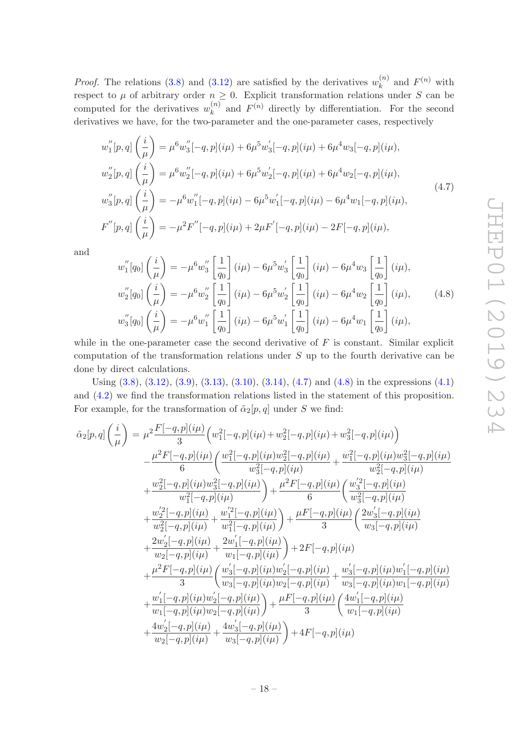*Proof.* The relations (3.8) and (3.12) are satisfied by the derivatives  $w_k^{(n)}$  $k^{(n)}$  and  $F^{(n)}$  with respect to  $\mu$  of arbitrary order  $n \geq 0$ . Explicit transformation relations under S can be computed for the derivatives  $w_k^{(n)}$  $\binom{n}{k}$  and  $F^{(n)}$  directly by differentiation. For the second derivatives we have, for the two-parameter and the one-parameter cases, respectively

$$
w_1''[p,q] \left(\frac{i}{\mu}\right) = \mu^6 w_3''[-q,p](i\mu) + 6\mu^5 w_3'[-q,p](i\mu) + 6\mu^4 w_3[-q,p](i\mu),
$$
  
\n
$$
w_2''[p,q] \left(\frac{i}{\mu}\right) = \mu^6 w_2''[-q,p](i\mu) + 6\mu^5 w_2'[-q,p](i\mu) + 6\mu^4 w_2[-q,p](i\mu),
$$
  
\n
$$
w_3''[p,q] \left(\frac{i}{\mu}\right) = -\mu^6 w_1''[-q,p](i\mu) - 6\mu^5 w_1'[-q,p](i\mu) - 6\mu^4 w_1[-q,p](i\mu),
$$
  
\n
$$
F''[p,q] \left(\frac{i}{\mu}\right) = -\mu^2 F''[-q,p](i\mu) + 2\mu F'[-q,p](i\mu) - 2F[-q,p](i\mu),
$$
\n(4.7)

and

$$
w_{1}^{''}[q_{0}]\left(\frac{i}{\mu}\right) = -\mu^{6}w_{3}^{''}\left[\frac{1}{q_{0}}\right](i\mu) - 6\mu^{5}w_{3}^{'}\left[\frac{1}{q_{0}}\right](i\mu) - 6\mu^{4}w_{3}\left[\frac{1}{q_{0}}\right](i\mu),
$$
  
\n
$$
w_{2}^{''}[q_{0}]\left(\frac{i}{\mu}\right) = -\mu^{6}w_{2}^{''}\left[\frac{1}{q_{0}}\right](i\mu) - 6\mu^{5}w_{2}^{'}\left[\frac{1}{q_{0}}\right](i\mu) - 6\mu^{4}w_{2}\left[\frac{1}{q_{0}}\right](i\mu),
$$
  
\n
$$
w_{3}^{''}[q_{0}]\left(\frac{i}{\mu}\right) = -\mu^{6}w_{1}^{''}\left[\frac{1}{q_{0}}\right](i\mu) - 6\mu^{5}w_{1}^{'}\left[\frac{1}{q_{0}}\right](i\mu) - 6\mu^{4}w_{1}\left[\frac{1}{q_{0}}\right](i\mu),
$$
\n(4.8)

while in the one-parameter case the second derivative of  $F$  is constant. Similar explicit computation of the transformation relations under S up to the fourth derivative can be done by direct calculations.

Using (3.8), (3.12), (3.9), (3.13), (3.10), (3.14), (4.7) and (4.8) in the expressions (4.1) and (4.2) we find the transformation relations listed in the statement of this proposition. For example, for the transformation of  $\tilde{\alpha}_2[p, q]$  under S we find:

$$
\tilde{\alpha}_{2}[p,q]\left(\frac{i}{\mu}\right) = \mu^{2}\frac{F[-q,p](i\mu)}{3}\left(w_{1}^{2}[-q,p](i\mu)+w_{2}^{2}[-q,p](i\mu)+w_{3}^{2}[-q,p](i\mu)\right) -\frac{\mu^{2}F[-q,p](i\mu)}{6}\left(\frac{w_{1}^{2}[-q,p](i\mu)w_{2}^{2}[-q,p](i\mu)}{w_{3}^{2}[-q,p](i\mu)}+\frac{w_{1}^{2}[-q,p](i\mu)w_{3}^{2}[-q,p](i\mu)}{w_{2}^{2}[-q,p](i\mu)}\right) +\frac{w_{2}^{2}[-q,p](i\mu)w_{3}^{2}[-q,p](i\mu)}{w_{1}^{2}[-q,p](i\mu)}\right) + \frac{\mu^{2}F[-q,p](i\mu)}{6}\left(\frac{w_{3}^{'2}[-q,p](i\mu)}{w_{3}^{2}[-q,p](i\mu)}\right) +\frac{w_{2}^{'}2[-q,p](i\mu)}{w_{2}^{2}[-q,p](i\mu)}+\frac{w_{1}^{'2}[-q,p](i\mu)}{w_{1}^{2}[-q,p](i\mu)}\right) + \frac{\mu F[-q,p](i\mu)}{3}\left(\frac{2w_{3}^{'}[-q,p](i\mu)}{w_{3}[-q,p](i\mu)}\right) +\frac{2w_{2}^{'}[-q,p](i\mu)}{w_{2}[-q,p](i\mu)}+\frac{2w_{1}^{'}[-q,p](i\mu)}{w_{1}[-q,p](i\mu)}\right) + 2F[-q,p](i\mu) +\frac{\mu^{2}F[-q,p](i\mu)}{3}\left(\frac{w_{3}^{'}[-q,p](i\mu)w_{2}^{'}[-q,p](i\mu)}{w_{3}[-q,p](i\mu)}+\frac{w_{3}^{'}[-q,p](i\mu)w_{1}^{'}[-q,p](i\mu)}{w_{3}[-q,p](i\mu)w_{1}[-q,p](i\mu)}\right) + \frac{\mu F[-q,p](i\mu)w_{1}^{'}[-q,p](i\mu)}{w_{1}[-q,p](i\mu)w_{2}[-q,p](i\mu)}+\frac{\mu F[-q,p](i\mu)}{w_{1}[-q,p](i\mu)}+\frac{4w_{2}^{'}[-q,p](i\mu)}{w_{
$$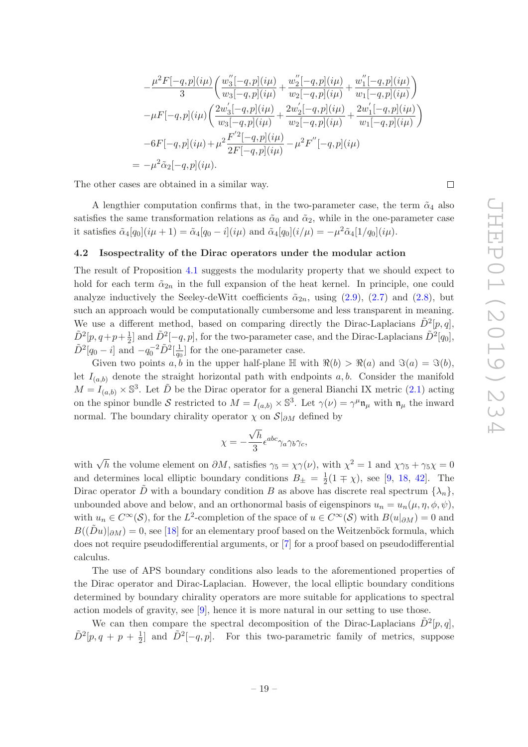$\Box$ 

$$
-\frac{\mu^2 F[-q,p](i\mu)}{3} \left( \frac{w_3''[-q,p](i\mu)}{w_3[-q,p](i\mu)} + \frac{w_2''[-q,p](i\mu)}{w_2[-q,p](i\mu)} + \frac{w_1''[-q,p](i\mu)}{w_1[-q,p](i\mu)} \right) -\mu F[-q,p](i\mu) \left( \frac{2w_3'[-q,p](i\mu)}{w_3[-q,p](i\mu)} + \frac{2w_2'[-q,p](i\mu)}{w_2[-q,p](i\mu)} + \frac{2w_1'[-q,p](i\mu)}{w_1[-q,p](i\mu)} \right) -6F[-q,p](i\mu) + \mu^2 \frac{F^{'2}[-q,p](i\mu)}{2F[-q,p](i\mu)} - \mu^2 F^{''}[-q,p](i\mu) = -\mu^2 \tilde{\alpha}_2[-q,p](i\mu).
$$

The other cases are obtained in a similar way.

A lengthier computation confirms that, in the two-parameter case, the term  $\tilde{\alpha}_4$  also satisfies the same transformation relations as  $\tilde{\alpha}_0$  and  $\tilde{\alpha}_2$ , while in the one-parameter case it satisfies  $\tilde{\alpha}_4[q_0](i\mu+1) = \tilde{\alpha}_4[q_0 - i](i\mu)$  and  $\tilde{\alpha}_4[q_0](i\mu) = -\mu^2 \tilde{\alpha}_4[1/q_0](i\mu)$ .

#### 4.2 Isospectrality of the Dirac operators under the modular action

The result of Proposition 4.1 suggests the modularity property that we should expect to hold for each term  $\tilde{\alpha}_{2n}$  in the full expansion of the heat kernel. In principle, one could analyze inductively the Seeley-deWitt coefficients  $\tilde{\alpha}_{2n}$ , using (2.9), (2.7) and (2.8), but such an approach would be computationally cumbersome and less transparent in meaning. We use a different method, based on comparing directly the Dirac-Laplacians  $\tilde{D}^2[p,q]$ ,  $\tilde{D}^{2}[p, q+p+\frac{1}{2}]$  $\frac{1}{2}$  and  $\tilde{D}^2[-q, p]$ , for the two-parameter case, and the Dirac-Laplacians  $\tilde{D}^2[q_0]$ ,  $\tilde{D}^2[q_0 - i]$  and  $-q_0^{-2} \tilde{D}^2[\frac{1}{q_0}]$  $\frac{1}{q_0}$  for the one-parameter case.

Given two points  $a, b$  in the upper half-plane  $\mathbb H$  with  $\Re(b) > \Re(a)$  and  $\Im(a) = \Im(b)$ , let  $I_{(a,b)}$  denote the straight horizontal path with endpoints a, b. Consider the manifold  $M = I_{(a,b)} \times \mathbb{S}^3$ . Let  $\tilde{D}$  be the Dirac operator for a general Bianchi IX metric (2.1) acting on the spinor bundle S restricted to  $M = I_{(a,b)} \times \mathbb{S}^3$ . Let  $\gamma(\nu) = \gamma^{\mu} \mathfrak{n}_{\mu}$  with  $\mathfrak{n}_{\mu}$  the inward normal. The boundary chirality operator  $\chi$  on  $\mathcal{S}|_{\partial M}$  defined by

$$
\chi=-\frac{\sqrt{h}}{3}\epsilon^{abc}\gamma_a\gamma_b\gamma_c,
$$

with  $\sqrt{h}$  the volume element on  $\partial M$ , satisfies  $\gamma_5 = \chi \gamma(\nu)$ , with  $\chi^2 = 1$  and  $\chi \gamma_5 + \gamma_5 \chi = 0$ and determines local elliptic boundary conditions  $B_{\pm} = \frac{1}{2}$  $\frac{1}{2}(1 \mp \chi)$ , see [9, 18, 42]. The Dirac operator D with a boundary condition B as above has discrete real spectrum  $\{\lambda_n\}$ , unbounded above and below, and an orthonormal basis of eigenspinors  $u_n = u_n(\mu, \eta, \phi, \psi)$ , with  $u_n \in C^{\infty}(\mathcal{S})$ , for the L<sup>2</sup>-completion of the space of  $u \in C^{\infty}(\mathcal{S})$  with  $B(u|_{\partial M}) = 0$  and  $B((\tilde{D}u)|_{\partial M}) = 0$ , see [18] for an elementary proof based on the Weitzenböck formula, which does not require pseudodifferential arguments, or [7] for a proof based on pseudodifferential calculus.

The use of APS boundary conditions also leads to the aforementioned properties of the Dirac operator and Dirac-Laplacian. However, the local elliptic boundary conditions determined by boundary chirality operators are more suitable for applications to spectral action models of gravity, see [9], hence it is more natural in our setting to use those.

We can then compare the spectral decomposition of the Dirac-Laplacians  $\tilde{D}^2[p,q]$ ,  $\tilde{D}^{2}[p,q+p+\frac{1}{2}]$  $\frac{1}{2}$  and  $\tilde{D}^2[-q,p]$ . For this two-parametric family of metrics, suppose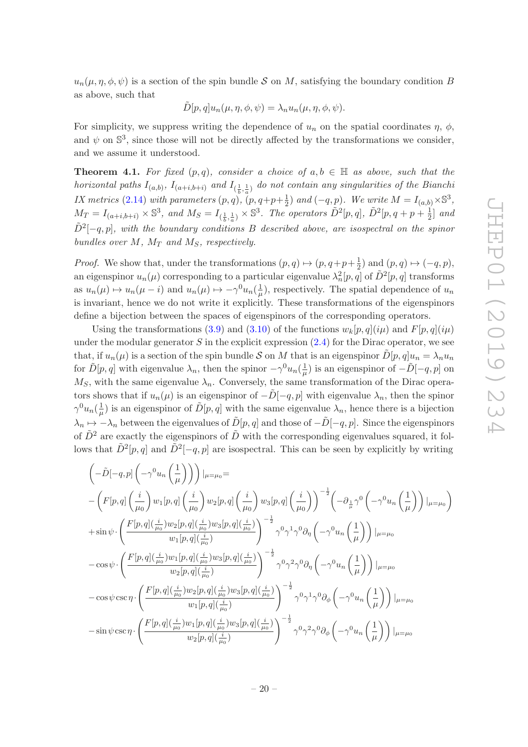$u_n(\mu, \eta, \phi, \psi)$  is a section of the spin bundle S on M, satisfying the boundary condition B as above, such that

$$
\tilde{D}[p,q]u_n(\mu,\eta,\phi,\psi) = \lambda_n u_n(\mu,\eta,\phi,\psi).
$$

For simplicity, we suppress writing the dependence of  $u_n$  on the spatial coordinates  $\eta$ ,  $\phi$ , and  $\psi$  on  $\mathbb{S}^3$ , since those will not be directly affected by the transformations we consider, and we assume it understood.

**Theorem 4.1.** For fixed  $(p,q)$ , consider a choice of  $a, b \in \mathbb{H}$  as above, such that the horizontal paths  $I_{(a,b)}$ ,  $I_{(a+i,b+i)}$  and  $I_{(\frac{1}{b},\frac{1}{a})}$  do not contain any singularities of the Bianchi IX metrics (2.14) with parameters  $(p, q)$ ,  $(p, q+p+\frac{1}{2})$  and  $(-q, p)$ . We write  $M = I_{(a,b)} \times \mathbb{S}^3$ , 2  $M_T = I_{(a+i,b+i)} \times \mathbb{S}^3$ , and  $M_S = I_{(\frac{1}{b},\frac{1}{a})} \times \mathbb{S}^3$ . The operators  $\tilde{D}^2[p,q]$ ,  $\tilde{D}^2[p,q+p+\frac{1}{2}]$  $\frac{1}{2}$  and  $\tilde{D}^2[-q,p]$ , with the boundary conditions B described above, are isospectral on the spinor bundles over  $M$ ,  $M_T$  and  $M_S$ , respectively.

*Proof.* We show that, under the transformations  $(p, q) \mapsto (p, q+p+\frac{1}{2})$  $(\frac{1}{2})$  and  $(p, q) \mapsto (-q, p)$ , an eigenspinor  $u_n(\mu)$  corresponding to a particular eigenvalue  $\lambda_n^2[p,q]$  of  $\tilde{D}^2[p,q]$  transforms as  $u_n(\mu) \mapsto u_n(\mu - i)$  and  $u_n(\mu) \mapsto -\gamma^0 u_n(\frac{1}{\mu})$  $(\frac{1}{\mu})$ , respectively. The spatial dependence of  $u_n$ is invariant, hence we do not write it explicitly. These transformations of the eigenspinors define a bijection between the spaces of eigenspinors of the corresponding operators.

Using the transformations (3.9) and (3.10) of the functions  $w_k[p,q](i\mu)$  and  $F[p,q](i\mu)$ under the modular generator  $S$  in the explicit expression  $(2.4)$  for the Dirac operator, we see that, if  $u_n(\mu)$  is a section of the spin bundle S on M that is an eigenspinor  $\tilde{D}[p,q]u_n = \lambda_n u_n$ for  $\tilde{D}[p, q]$  with eigenvalue  $\lambda_n$ , then the spinor  $-\gamma^0 u_n(\frac{1}{\mu})$  $\frac{1}{\mu}$ ) is an eigenspinor of  $-\tilde{D}[-q, p]$  on  $M<sub>S</sub>$ , with the same eigenvalue  $\lambda_n$ . Conversely, the same transformation of the Dirac operators shows that if  $u_n(\mu)$  is an eigenspinor of  $-\tilde{D}[-q, p]$  with eigenvalue  $\lambda_n$ , then the spinor  $\gamma^0 u_n(\frac{1}{\mu})$  $\frac{1}{\mu}$ ) is an eigenspinor of  $\tilde{D}[p,q]$  with the same eigenvalue  $\lambda_n$ , hence there is a bijection  $\lambda_n \mapsto -\lambda_n$  between the eigenvalues of  $\tilde{D}[p, q]$  and those of  $-\tilde{D}[-q, p]$ . Since the eigenspinors of  $\tilde{D}^2$  are exactly the eigenspinors of  $\tilde{D}$  with the corresponding eigenvalues squared, it follows that  $\tilde{D}^2[p,q]$  and  $\tilde{D}^2[-q,p]$  are isospectral. This can be seen by explicitly by writing

$$
\begin{split}\n&\left(-\tilde{D}[-q,p]\left(-\gamma^{0}u_{n}\left(\frac{1}{\mu}\right)\right)\right)\vert_{\mu=\mu_{0}} = \\
&-\left(F[p,q]\left(\frac{i}{\mu_{0}}\right)w_{1}[p,q]\left(\frac{i}{\mu_{0}}\right)w_{2}[p,q]\left(\frac{i}{\mu_{0}}\right)w_{3}[p,q]\left(\frac{i}{\mu_{0}}\right)\right)^{-\frac{1}{2}}\left(-\partial_{\frac{1}{\mu}}\gamma^{0}\left(-\gamma^{0}u_{n}\left(\frac{1}{\mu}\right)\right)\vert_{\mu=\mu_{0}}\right) \\
&+\sin\psi\cdot\left(\frac{F[p,q]\left(\frac{i}{\mu_{0}}\right)w_{2}[p,q]\left(\frac{i}{\mu_{0}}\right)w_{3}[p,q]\left(\frac{i}{\mu_{0}}\right)}{w_{1}[p,q]\left(\frac{i}{\mu_{0}}\right)}\right)^{-\frac{1}{2}}\gamma^{0}\gamma^{1}\gamma^{0}\partial_{\eta}\left(-\gamma^{0}u_{n}\left(\frac{1}{\mu}\right)\right)\vert_{\mu=\mu_{0}} \\
&-\cos\psi\cdot\left(\frac{F[p,q]\left(\frac{i}{\mu_{0}}\right)w_{1}[p,q]\left(\frac{i}{\mu_{0}}\right)w_{3}[p,q]\left(\frac{i}{\mu_{0}}\right)}{w_{2}[p,q]\left(\frac{i}{\mu_{0}}\right)}\right)^{-\frac{1}{2}}\gamma^{0}\gamma^{2}\gamma^{0}\partial_{\eta}\left(-\gamma^{0}u_{n}\left(\frac{1}{\mu}\right)\right)\vert_{\mu=\mu_{0}} \\
&-\cos\psi\csc\eta\cdot\left(\frac{F[p,q]\left(\frac{i}{\mu_{0}}\right)w_{2}[p,q]\left(\frac{i}{\mu_{0}}\right)w_{3}[p,q]\left(\frac{i}{\mu_{0}}\right)}{w_{1}[p,q]\left(\frac{i}{\mu_{0}}\right)}\right)^{-\frac{1}{2}}\gamma^{0}\gamma^{1}\gamma^{0}\partial_{\phi}\left(-\gamma^{0}u_{n}\left(\frac{1}{\mu}\right)\right)\vert_{\mu=\mu_{0}} \\
&-\sin\psi\csc\eta\cdot\left(\frac{F[p,q]\left(\frac{i}{\mu_{0}}\right)w_{1}[p,q]\left(\frac{i}{\mu_{0}}\right)w_{3}[p,q]\left(\frac{i}{\mu_{0}}\right)}{w_{2}[p,q]\left(\frac{i}{\mu_{0}}\
$$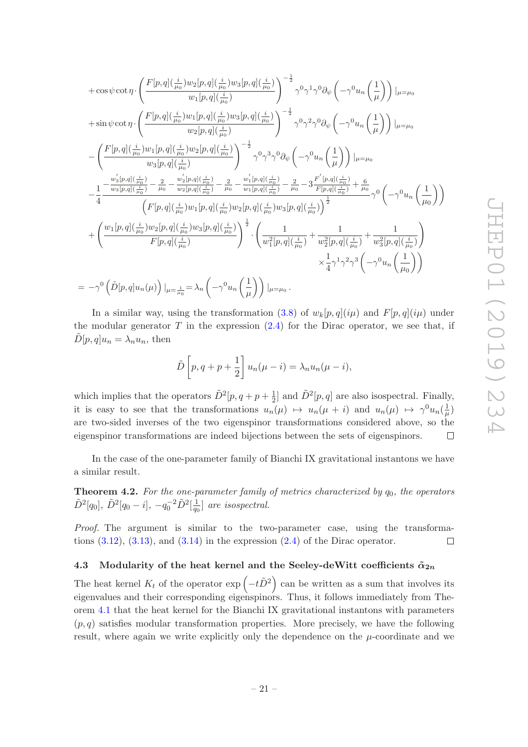$$
+\cos\psi \cot\eta \cdot \left(\frac{F[p,q](\frac{i}{\mu_{0}})w_{2}[p,q](\frac{i}{\mu_{0}})w_{3}[p,q](\frac{i}{\mu_{0}})}{w_{1}[p,q](\frac{i}{\mu_{0}})}\right)^{-\frac{1}{2}}\gamma^{0}\gamma^{1}\gamma^{0}\partial_{\psi}\left(-\gamma^{0}u_{n}\left(\frac{1}{\mu}\right)\right)|_{\mu=\mu_{0}}+\sin\psi \cot\eta \cdot \left(\frac{F[p,q](\frac{i}{\mu_{0}})w_{1}[p,q](\frac{i}{\mu_{0}})w_{3}[p,q](\frac{i}{\mu_{0}})}{w_{2}[p,q](\frac{i}{\mu_{0}})}\right)^{-\frac{1}{2}}\gamma^{0}\gamma^{2}\gamma^{0}\partial_{\psi}\left(-\gamma^{0}u_{n}\left(\frac{1}{\mu}\right)\right)|_{\mu=\mu_{0}}-\left(\frac{F[p,q](\frac{i}{\mu_{0}})w_{1}[p,q](\frac{i}{\mu_{0}})w_{2}[p,q](\frac{i}{\mu_{0}})}{w_{3}[p,q](\frac{i}{\mu_{0}})}\right)^{-\frac{1}{2}}\gamma^{0}\gamma^{3}\gamma^{0}\partial_{\psi}\left(-\gamma^{0}u_{n}\left(\frac{1}{\mu}\right)\right)|_{\mu=\mu_{0}}-\frac{1}{4}\frac{-\frac{w_{3}'[p,q](\frac{i}{\mu_{0}})}{w_{3}[p,q](\frac{i}{\mu_{0}})}-\frac{2}{\mu_{0}}-\frac{w_{1}'[p,q](\frac{i}{\mu_{0}})}{w_{1}[p,q](\frac{i}{\mu_{0}})}-\frac{2}{\mu_{0}}-\frac{\pi^{r'}[p,q](\frac{i}{\mu_{0}})}{r_{1}[p,q](\frac{i}{\mu_{0}})}+\frac{6}{\mu_{0}}\gamma^{0}\left(-\gamma^{0}u_{n}\left(\frac{1}{\mu_{0}}\right)\right)+\left(\frac{F[p,q](\frac{i}{\mu_{0}})w_{1}[p,q](\frac{i}{\mu_{0}})w_{2}[p,q](\frac{i}{\mu_{0}})w_{3}[p,q](\frac{i}{\mu_{0}})\right)^{\frac{1}{2}}+\left(\frac{w_{1}[p,q](\frac{i}{\mu_{0}})w_{2}[p,q](\frac{i}{\mu_{0}})w_{3}[p,q](\frac{i}{\mu_{0}})}{F[p,q](\
$$

In a similar way, using the transformation (3.8) of  $w_k[p,q](i\mu)$  and  $F[p,q](i\mu)$  under the modular generator  $T$  in the expression  $(2.4)$  for the Dirac operator, we see that, if  $D[p, q]u_n = \lambda_n u_n$ , then

$$
\tilde{D}\left[p,q+p+\frac{1}{2}\right]u_n(\mu-i) = \lambda_n u_n(\mu-i),
$$

which implies that the operators  $\tilde{D}^2[p, q+p+\frac{1}{2}]$  $\frac{1}{2}$  and  $\tilde{D}^2[p, q]$  are also isospectral. Finally, it is easy to see that the transformations  $u_n(\mu) \mapsto u_n(\mu + i)$  and  $u_n(\mu) \mapsto \gamma^0 u_n(\frac{1}{\mu})$  $\frac{1}{\mu}$ are two-sided inverses of the two eigenspinor transformations considered above, so the eigenspinor transformations are indeed bijections between the sets of eigenspinors.  $\Box$ 

In the case of the one-parameter family of Bianchi IX gravitational instantons we have a similar result.

**Theorem 4.2.** For the one-parameter family of metrics characterized by  $q_0$ , the operators  $\tilde{D}^2[q_0], \tilde{D}^2[q_0 - i], -q_0^{-2} \tilde{D}^2[\frac{1}{q_0}]$  $\frac{1}{q_0}$  are isospectral.

Proof. The argument is similar to the two-parameter case, using the transformations  $(3.12)$ ,  $(3.13)$ , and  $(3.14)$  in the expression  $(2.4)$  of the Dirac operator.  $\Box$ 

# 4.3 Modularity of the heat kernel and the Seeley-deWitt coefficients  $\tilde{\alpha}_{2n}$

The heat kernel  $K_t$  of the operator  $\exp(-t\tilde{D}^2)$  can be written as a sum that involves its eigenvalues and their corresponding eigenspinors. Thus, it follows immediately from Theorem 4.1 that the heat kernel for the Bianchi IX gravitational instantons with parameters  $(p, q)$  satisfies modular transformation properties. More precisely, we have the following result, where again we write explicitly only the dependence on the  $\mu$ -coordinate and we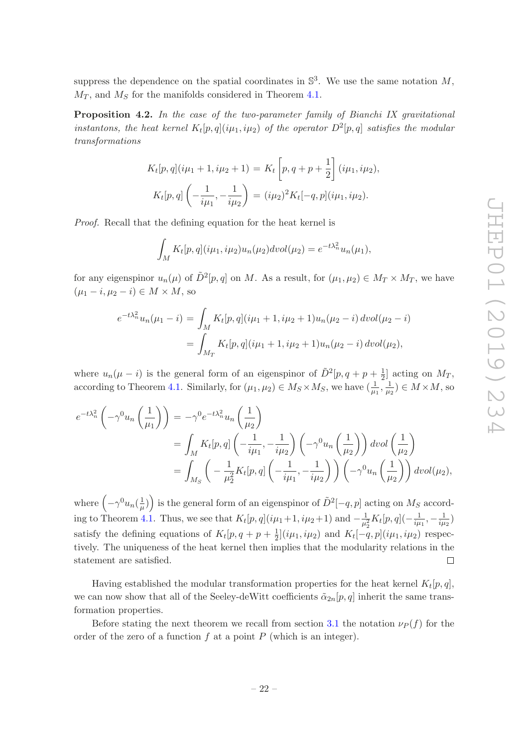suppress the dependence on the spatial coordinates in  $\mathbb{S}^3$ . We use the same notation M,  $M_T$ , and  $M_S$  for the manifolds considered in Theorem 4.1.

Proposition 4.2. In the case of the two-parameter family of Bianchi IX gravitational instantons, the heat kernel  $K_t[p,q](i\mu_1,i\mu_2)$  of the operator  $D^2[p,q]$  satisfies the modular transformations

$$
K_t[p,q](i\mu_1 + 1, i\mu_2 + 1) = K_t\left[p, q + p + \frac{1}{2}\right](i\mu_1, i\mu_2),
$$
  

$$
K_t[p,q]\left(-\frac{1}{i\mu_1}, -\frac{1}{i\mu_2}\right) = (i\mu_2)^2 K_t[-q, p](i\mu_1, i\mu_2).
$$

Proof. Recall that the defining equation for the heat kernel is

$$
\int_M K_t[p,q](i\mu_1, i\mu_2)u_n(\mu_2)dvol(\mu_2) = e^{-t\lambda_n^2}u_n(\mu_1),
$$

for any eigenspinor  $u_n(\mu)$  of  $\tilde{D}^2[p,q]$  on M. As a result, for  $(\mu_1, \mu_2) \in M_T \times M_T$ , we have  $(\mu_1 - i, \mu_2 - i) \in M \times M$ , so

$$
e^{-t\lambda_n^2}u_n(\mu_1 - i) = \int_M K_t[p, q](i\mu_1 + 1, i\mu_2 + 1)u_n(\mu_2 - i) dvol(\mu_2 - i)
$$
  
= 
$$
\int_{M_T} K_t[p, q](i\mu_1 + 1, i\mu_2 + 1)u_n(\mu_2 - i) dvol(\mu_2),
$$

where  $u_n(\mu - i)$  is the general form of an eigenspinor of  $\tilde{D}^2[p, q + p + \frac{1}{2}]$  $\frac{1}{2}$  acting on  $M_T$ , according to Theorem 4.1. Similarly, for  $(\mu_1, \mu_2) \in M_S \times M_S$ , we have  $(\frac{1}{\mu_1}, \frac{1}{\mu_2})$  $\frac{1}{\mu_2}) \in M \times M$ , so

$$
e^{-t\lambda_n^2} \left(-\gamma^0 u_n\left(\frac{1}{\mu_1}\right)\right) = -\gamma^0 e^{-t\lambda_n^2} u_n\left(\frac{1}{\mu_2}\right)
$$
  
= 
$$
\int_M K_t[p,q] \left(-\frac{1}{i\mu_1}, -\frac{1}{i\mu_2}\right) \left(-\gamma^0 u_n\left(\frac{1}{\mu_2}\right)\right) dvol\left(\frac{1}{\mu_2}\right)
$$
  
= 
$$
\int_{M_S} \left(-\frac{1}{\mu_2^2} K_t[p,q] \left(-\frac{1}{i\mu_1}, -\frac{1}{i\mu_2}\right)\right) \left(-\gamma^0 u_n\left(\frac{1}{\mu_2}\right)\right) dvol(\mu_2),
$$

where  $\left(-\gamma^0 u_n\left(\frac{1}{\mu}\right)\right)$  $\left(\frac{1}{\mu}\right)$  is the general form of an eigenspinor of  $\tilde{D}^2[-q,p]$  acting on  $M_S$  according to Theorem 4.1. Thus, we see that  $K_t[p,q](i\mu_1+1,i\mu_2+1)$  and  $-\frac{1}{\mu^2}$  $\frac{1}{\mu_2^2} K_t[p,q](-\frac{1}{i\mu})$  $\frac{1}{i\mu_1}, -\frac{1}{i\mu}$  $\frac{1}{i\mu_2}$ satisfy the defining equations of  $K_t[p, q + p + \frac{1}{2}]$  $\frac{1}{2}[(i\mu_1, i\mu_2)$  and  $K_t[-q, p](i\mu_1, i\mu_2)$  respectively. The uniqueness of the heat kernel then implies that the modularity relations in the statement are satisfied.  $\Box$ 

Having established the modular transformation properties for the heat kernel  $K_t[p,q]$ , we can now show that all of the Seeley-deWitt coefficients  $\tilde{\alpha}_{2n}[p,q]$  inherit the same transformation properties.

Before stating the next theorem we recall from section 3.1 the notation  $\nu_P(f)$  for the order of the zero of a function  $f$  at a point  $P$  (which is an integer).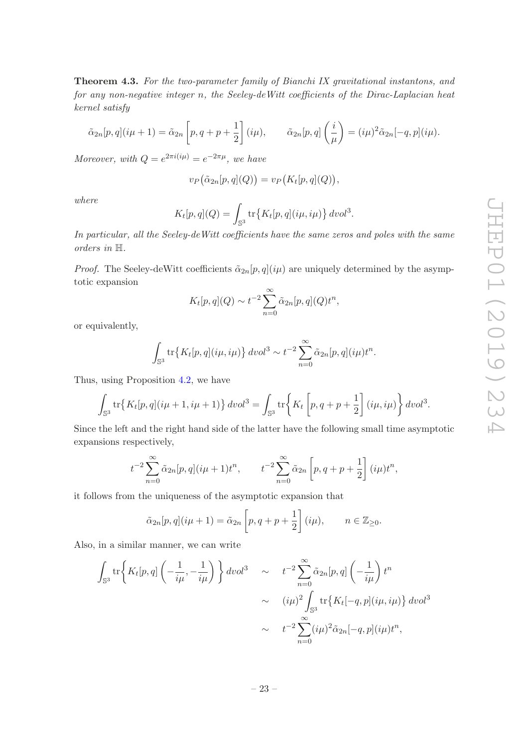Theorem 4.3. For the two-parameter family of Bianchi IX gravitational instantons, and for any non-negative integer n, the Seeley-deWitt coefficients of the Dirac-Laplacian heat kernel satisfy

$$
\tilde{\alpha}_{2n}[p,q](i\mu+1) = \tilde{\alpha}_{2n}\left[p,q+p+\frac{1}{2}\right](i\mu), \qquad \tilde{\alpha}_{2n}[p,q]\left(\frac{i}{\mu}\right) = (i\mu)^2 \tilde{\alpha}_{2n}[-q,p](i\mu).
$$

Moreover, with  $Q = e^{2\pi i(i\mu)} = e^{-2\pi \mu}$ , we have

$$
v_P(\tilde{\alpha}_{2n}[p,q](Q)) = v_P\big(K_t[p,q](Q)\big),\,
$$

where

$$
K_t[p,q](Q) = \int_{\mathbb{S}^3} \text{tr}\big\{ K_t[p,q](i\mu, i\mu) \big\} dvol^3.
$$

In particular, all the Seeley-deWitt coefficients have the same zeros and poles with the same orders in H.

*Proof.* The Seeley-deWitt coefficients  $\tilde{\alpha}_{2n}[p,q](i\mu)$  are uniquely determined by the asymptotic expansion

$$
K_t[p,q](Q) \sim t^{-2} \sum_{n=0}^{\infty} \tilde{\alpha}_{2n}[p,q](Q) t^n,
$$

or equivalently,

$$
\int_{\mathbb{S}^3} tr\big\{K_t[p,q](i\mu,i\mu)\big\} dvol^3 \sim t^{-2} \sum_{n=0}^{\infty} \tilde{\alpha}_{2n}[p,q](i\mu)t^n.
$$

Thus, using Proposition 4.2, we have

$$
\int_{\mathbb{S}^3} \text{tr}\{K_t[p,q](i\mu+1,i\mu+1)\} \, dvol^3 = \int_{\mathbb{S}^3} \text{tr}\bigg\{K_t\left[p,q+p+\frac{1}{2}\right](i\mu,i\mu)\bigg\} \, dvol^3.
$$

Since the left and the right hand side of the latter have the following small time asymptotic expansions respectively,

$$
t^{-2} \sum_{n=0}^{\infty} \tilde{\alpha}_{2n}[p, q](i\mu + 1)t^{n}, \qquad t^{-2} \sum_{n=0}^{\infty} \tilde{\alpha}_{2n}\left[p, q+p+\frac{1}{2}\right](i\mu)t^{n},
$$

it follows from the uniqueness of the asymptotic expansion that

$$
\tilde{\alpha}_{2n}[p,q](i\mu+1) = \tilde{\alpha}_{2n}\left[p,q+p+\frac{1}{2}\right](i\mu), \qquad n \in \mathbb{Z}_{\geq 0}.
$$

Also, in a similar manner, we can write

$$
\int_{\mathbb{S}^3} \text{tr}\left\{ K_t[p,q] \left( -\frac{1}{i\mu}, -\frac{1}{i\mu} \right) \right\} dvol^3 \sim t^{-2} \sum_{n=0}^{\infty} \tilde{\alpha}_{2n}[p,q] \left( -\frac{1}{i\mu} \right) t^n
$$

$$
\sim (i\mu)^2 \int_{\mathbb{S}^3} \text{tr}\left\{ K_t[-q,p] (i\mu, i\mu) \right\} dvol^3
$$

$$
\sim t^{-2} \sum_{n=0}^{\infty} (i\mu)^2 \tilde{\alpha}_{2n}[-q,p] (i\mu) t^n,
$$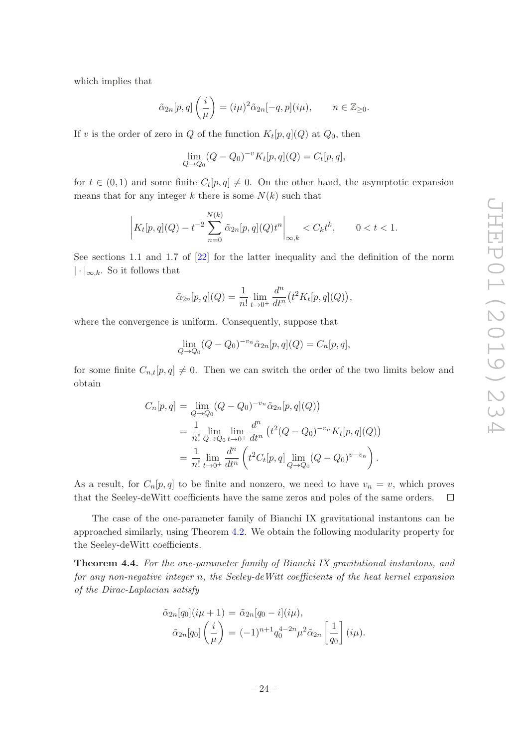which implies that

$$
\tilde{\alpha}_{2n}[p,q]\left(\frac{i}{\mu}\right) = (i\mu)^2 \tilde{\alpha}_{2n}[-q,p](i\mu), \qquad n \in \mathbb{Z}_{\geq 0}.
$$

If v is the order of zero in Q of the function  $K_t[p,q](Q)$  at  $Q_0$ , then

$$
\lim_{Q \to Q_0} (Q - Q_0)^{-v} K_t[p, q](Q) = C_t[p, q],
$$

for  $t \in (0,1)$  and some finite  $C_t[p,q] \neq 0$ . On the other hand, the asymptotic expansion means that for any integer k there is some  $N(k)$  such that

$$
\left| K_t[p,q](Q) - t^{-2} \sum_{n=0}^{N(k)} \tilde{\alpha}_{2n}[p,q](Q) t^n \right|_{\infty,k} < C_k t^k, \qquad 0 < t < 1.
$$

See sections 1.1 and 1.7 of [22] for the latter inequality and the definition of the norm  $|\cdot|_{\infty,k}$ . So it follows that

$$
\tilde{\alpha}_{2n}[p,q](Q) = \frac{1}{n!} \lim_{t \to 0^+} \frac{d^n}{dt^n} (t^2 K_t[p,q](Q)),
$$

where the convergence is uniform. Consequently, suppose that

$$
\lim_{Q \to Q_0} (Q - Q_0)^{-v_n} \tilde{\alpha}_{2n}[p, q](Q) = C_n[p, q],
$$

for some finite  $C_{n,t}[p, q] \neq 0$ . Then we can switch the order of the two limits below and obtain

$$
C_n[p,q] = \lim_{Q \to Q_0} (Q - Q_0)^{-v_n} \tilde{\alpha}_{2n}[p,q](Q)
$$
  
= 
$$
\frac{1}{n!} \lim_{Q \to Q_0} \lim_{t \to 0^+} \frac{d^n}{dt^n} (t^2(Q - Q_0)^{-v_n} K_t[p,q](Q))
$$
  
= 
$$
\frac{1}{n!} \lim_{t \to 0^+} \frac{d^n}{dt^n} \left( t^2 C_t[p,q] \lim_{Q \to Q_0} (Q - Q_0)^{v-v_n} \right).
$$

As a result, for  $C_n[p,q]$  to be finite and nonzero, we need to have  $v_n = v$ , which proves that the Seeley-deWitt coefficients have the same zeros and poles of the same orders.  $\Box$ 

The case of the one-parameter family of Bianchi IX gravitational instantons can be approached similarly, using Theorem 4.2. We obtain the following modularity property for the Seeley-deWitt coefficients.

Theorem 4.4. For the one-parameter family of Bianchi IX gravitational instantons, and for any non-negative integer n, the Seeley-deWitt coefficients of the heat kernel expansion of the Dirac-Laplacian satisfy

$$
\tilde{\alpha}_{2n}[q_0](i\mu + 1) = \tilde{\alpha}_{2n}[q_0 - i](i\mu), \n\tilde{\alpha}_{2n}[q_0] \left(\frac{i}{\mu}\right) = (-1)^{n+1} q_0^{4-2n} \mu^2 \tilde{\alpha}_{2n} \left[\frac{1}{q_0}\right](i\mu).
$$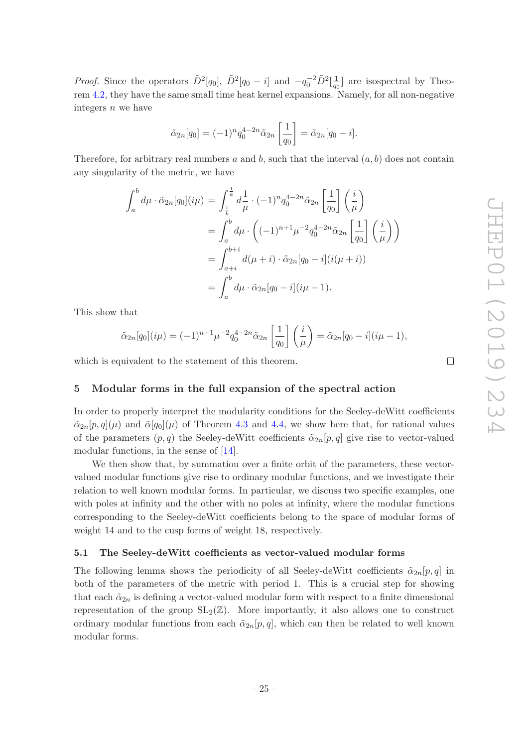$\Box$ 

*Proof.* Since the operators  $\tilde{D}^2[q_0], \ \tilde{D}^2[q_0 - i]$  and  $-q_0^{-2} \tilde{D}^2[\frac{1}{q_0}]$  $\frac{1}{q_0}$  are isospectral by Theorem 4.2, they have the same small time heat kernel expansions. Namely, for all non-negative integers n we have

$$
\tilde{\alpha}_{2n}[q_0] = (-1)^n q_0^{4-2n} \tilde{\alpha}_{2n} \left[ \frac{1}{q_0} \right] = \tilde{\alpha}_{2n}[q_0 - i].
$$

Therefore, for arbitrary real numbers a and b, such that the interval  $(a, b)$  does not contain any singularity of the metric, we have

$$
\int_{a}^{b} d\mu \cdot \tilde{\alpha}_{2n}[q_{0}](i\mu) = \int_{\frac{1}{b}}^{\frac{1}{a}} d\frac{1}{\mu} \cdot (-1)^{n} q_{0}^{4-2n} \tilde{\alpha}_{2n} \left[\frac{1}{q_{0}}\right] \left(\frac{i}{\mu}\right)
$$
  
= 
$$
\int_{a}^{b} d\mu \cdot \left((-1)^{n+1} \mu^{-2} q_{0}^{4-2n} \tilde{\alpha}_{2n} \left[\frac{1}{q_{0}}\right] \left(\frac{i}{\mu}\right)\right)
$$
  
= 
$$
\int_{a+i}^{b+i} d(\mu + i) \cdot \tilde{\alpha}_{2n}[q_{0} - i](i(\mu + i))
$$
  
= 
$$
\int_{a}^{b} d\mu \cdot \tilde{\alpha}_{2n}[q_{0} - i](i\mu - 1).
$$

This show that

$$
\tilde{\alpha}_{2n}[q_0](i\mu) = (-1)^{n+1}\mu^{-2}q_0^{4-2n}\tilde{\alpha}_{2n}\left[\frac{1}{q_0}\right]\left(\frac{i}{\mu}\right) = \tilde{\alpha}_{2n}[q_0 - i](i\mu - 1),
$$

which is equivalent to the statement of this theorem.

# 5 Modular forms in the full expansion of the spectral action

In order to properly interpret the modularity conditions for the Seeley-deWitt coefficients  $\tilde{\alpha}_{2n}[p,q](\mu)$  and  $\tilde{\alpha}[q_0](\mu)$  of Theorem 4.3 and 4.4, we show here that, for rational values of the parameters  $(p, q)$  the Seeley-deWitt coefficients  $\tilde{\alpha}_{2n}[p, q]$  give rise to vector-valued modular functions, in the sense of [14].

We then show that, by summation over a finite orbit of the parameters, these vectorvalued modular functions give rise to ordinary modular functions, and we investigate their relation to well known modular forms. In particular, we discuss two specific examples, one with poles at infinity and the other with no poles at infinity, where the modular functions corresponding to the Seeley-deWitt coefficients belong to the space of modular forms of weight 14 and to the cusp forms of weight 18, respectively.

#### 5.1 The Seeley-deWitt coefficients as vector-valued modular forms

The following lemma shows the periodicity of all Seeley-deWitt coefficients  $\tilde{\alpha}_{2n}[p,q]$  in both of the parameters of the metric with period 1. This is a crucial step for showing that each  $\tilde{\alpha}_{2n}$  is defining a vector-valued modular form with respect to a finite dimensional representation of the group  $SL_2(\mathbb{Z})$ . More importantly, it also allows one to construct ordinary modular functions from each  $\tilde{\alpha}_{2n}[p,q]$ , which can then be related to well known modular forms.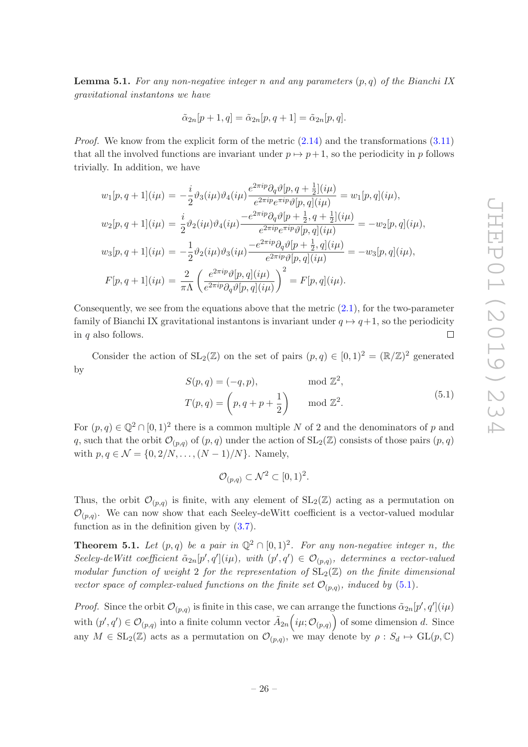**Lemma 5.1.** For any non-negative integer n and any parameters  $(p, q)$  of the Bianchi IX gravitational instantons we have

$$
\tilde{\alpha}_{2n}[p+1,q] = \tilde{\alpha}_{2n}[p,q+1] = \tilde{\alpha}_{2n}[p,q].
$$

*Proof.* We know from the explicit form of the metric  $(2.14)$  and the transformations  $(3.11)$ that all the involved functions are invariant under  $p \mapsto p+1$ , so the periodicity in p follows trivially. In addition, we have

$$
w_{1}[p,q+1](i\mu) = -\frac{i}{2}\vartheta_{3}(i\mu)\vartheta_{4}(i\mu)\frac{e^{2\pi ip}\partial_{q}\vartheta[p,q+\frac{1}{2}](i\mu)}{e^{2\pi ip}e^{\pi ip}\vartheta[p,q](i\mu)} = w_{1}[p,q](i\mu),
$$
  
\n
$$
w_{2}[p,q+1](i\mu) = \frac{i}{2}\vartheta_{2}(i\mu)\vartheta_{4}(i\mu)\frac{-e^{2\pi ip}\partial_{q}\vartheta[p+\frac{1}{2},q+\frac{1}{2}](i\mu)}{e^{2\pi ip}e^{\pi ip}\vartheta[p,q](i\mu)} = -w_{2}[p,q](i\mu),
$$
  
\n
$$
w_{3}[p,q+1](i\mu) = -\frac{1}{2}\vartheta_{2}(i\mu)\vartheta_{3}(i\mu)\frac{-e^{2\pi ip}\partial_{q}\vartheta[p+\frac{1}{2},q](i\mu)}{e^{2\pi ip}\vartheta[p,q](i\mu)} = -w_{3}[p,q](i\mu),
$$
  
\n
$$
F[p,q+1](i\mu) = \frac{2}{\pi\Lambda}\left(\frac{e^{2\pi ip}\vartheta[p,q](i\mu)}{e^{2\pi ip}\partial_{q}\vartheta[p,q](i\mu)}\right)^{2} = F[p,q](i\mu).
$$

Consequently, we see from the equations above that the metric  $(2.1)$ , for the two-parameter family of Bianchi IX gravitational instantons is invariant under  $q \mapsto q+1$ , so the periodicity in  $q$  also follows.  $\Box$ 

Consider the action of  $SL_2(\mathbb{Z})$  on the set of pairs  $(p, q) \in [0, 1)^2 = (\mathbb{R}/\mathbb{Z})^2$  generated by

$$
S(p,q) = (-q,p), \quad \text{mod } \mathbb{Z}^2,
$$
  

$$
T(p,q) = \left(p,q+p+\frac{1}{2}\right) \quad \text{mod } \mathbb{Z}^2.
$$
 (5.1)

For  $(p, q) \in \mathbb{Q}^2 \cap [0, 1)^2$  there is a common multiple N of 2 and the denominators of p and q, such that the orbit  $\mathcal{O}_{(p,q)}$  of  $(p,q)$  under the action of  $SL_2(\mathbb{Z})$  consists of those pairs  $(p,q)$ with  $p, q \in \mathcal{N} = \{0, 2/N, ..., (N-1)/N\}$ . Namely,

$$
\mathcal{O}_{(p,q)} \subset \mathcal{N}^2 \subset [0,1)^2.
$$

Thus, the orbit  $\mathcal{O}_{(p,q)}$  is finite, with any element of  $SL_2(\mathbb{Z})$  acting as a permutation on  $\mathcal{O}_{(p,q)}$ . We can now show that each Seeley-deWitt coefficient is a vector-valued modular function as in the definition given by (3.7).

**Theorem 5.1.** Let  $(p,q)$  be a pair in  $\mathbb{Q}^2 \cap [0,1)^2$ . For any non-negative integer n, the  $Seeley-deWitt coefficient \tilde{\alpha}_{2n}[p',q'](i\mu), with (p',q') \in \mathcal{O}_{(p,q)}, determines a vector-valued$ modular function of weight 2 for the representation of  $SL_2(\mathbb{Z})$  on the finite dimensional vector space of complex-valued functions on the finite set  $\mathcal{O}_{(p,q)}$ , induced by (5.1).

*Proof.* Since the orbit  $\mathcal{O}_{(p,q)}$  is finite in this case, we can arrange the functions  $\tilde{\alpha}_{2n}[p',q'](i\mu)$ with  $(p', q') \in \mathcal{O}_{(p,q)}$  into a finite column vector  $\tilde{A}_{2n}(\mu; \mathcal{O}_{(p,q)})$  of some dimension d. Since any  $M \in SL_2(\mathbb{Z})$  acts as a permutation on  $\mathcal{O}_{(p,q)}$ , we may denote by  $\rho: S_d \mapsto GL(p, \mathbb{C})$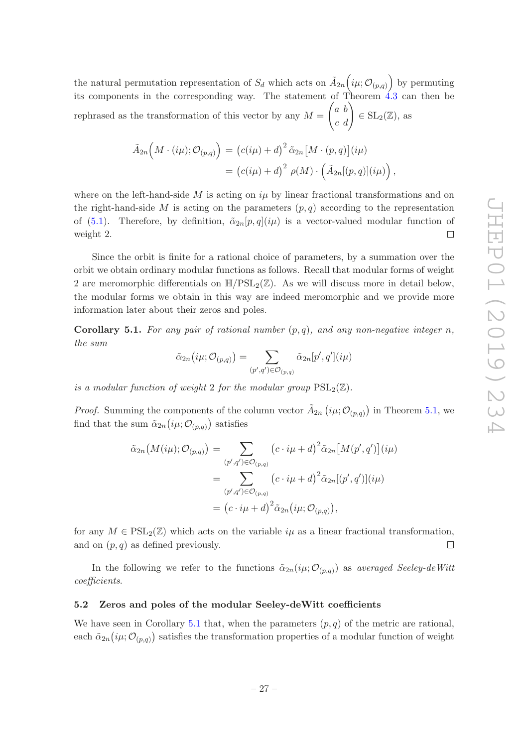the natural permutation representation of  $S_d$  which acts on  $\tilde{A}_{2n}(\mu; \mathcal{O}_{(p,q)})$  by permuting its components in the corresponding way. The statement of Theorem 4.3 can then be rephrased as the transformation of this vector by any  $M =$  $\begin{pmatrix} a & b \\ c & d \end{pmatrix} \in SL_2(\mathbb{Z})$ , as

$$
\tilde{A}_{2n}\Big(M \cdot (i\mu); \mathcal{O}_{(p,q)}\Big) = (c(i\mu) + d)^2 \tilde{\alpha}_{2n} [M \cdot (p,q)](i\mu)
$$

$$
= (c(i\mu) + d)^2 \rho(M) \cdot (\tilde{A}_{2n}[(p,q)](i\mu)),
$$

where on the left-hand-side M is acting on  $i\mu$  by linear fractional transformations and on the right-hand-side M is acting on the parameters  $(p, q)$  according to the representation of (5.1). Therefore, by definition,  $\tilde{\alpha}_{2n}[p,q](i\mu)$  is a vector-valued modular function of weight 2.  $\Box$ 

Since the orbit is finite for a rational choice of parameters, by a summation over the orbit we obtain ordinary modular functions as follows. Recall that modular forms of weight 2 are meromorphic differentials on  $\mathbb{H}/PSL_2(\mathbb{Z})$ . As we will discuss more in detail below, the modular forms we obtain in this way are indeed meromorphic and we provide more information later about their zeros and poles.

**Corollary 5.1.** For any pair of rational number  $(p,q)$ , and any non-negative integer n, the sum

$$
\tilde{\alpha}_{2n}(i\mu;\mathcal{O}_{(p,q)})=\sum_{(p',q')\in\mathcal{O}_{(p,q)}}\tilde{\alpha}_{2n}[p',q'](i\mu)
$$

is a modular function of weight 2 for the modular group  $PSL_2(\mathbb{Z})$ .

*Proof.* Summing the components of the column vector  $\tilde{A}_{2n}(\mu; \mathcal{O}_{(p,q)})$  in Theorem 5.1, we find that the sum  $\tilde{\alpha}_{2n}(\mu; \mathcal{O}_{(p,q)})$  satisfies

$$
\tilde{\alpha}_{2n}\big(M(i\mu); \mathcal{O}_{(p,q)}\big) = \sum_{(p',q') \in \mathcal{O}_{(p,q)}} \big(c \cdot i\mu + d\big)^2 \tilde{\alpha}_{2n} \big[M(p',q')\big](i\mu)
$$

$$
= \sum_{(p',q') \in \mathcal{O}_{(p,q)}} \big(c \cdot i\mu + d\big)^2 \tilde{\alpha}_{2n} \big[(p',q')\big](i\mu)
$$

$$
= (c \cdot i\mu + d)^2 \tilde{\alpha}_{2n} \big(i\mu; \mathcal{O}_{(p,q)}\big),
$$

for any  $M \in \text{PSL}_2(\mathbb{Z})$  which acts on the variable  $i\mu$  as a linear fractional transformation, and on  $(p, q)$  as defined previously.  $\Box$ 

In the following we refer to the functions  $\tilde{\alpha}_{2n}(i\mu; \mathcal{O}_{(p,q)})$  as averaged Seeley-deWitt coefficients.

#### 5.2 Zeros and poles of the modular Seeley-deWitt coefficients

We have seen in Corollary 5.1 that, when the parameters  $(p, q)$  of the metric are rational, each  $\tilde{\alpha}_{2n}(i\mu; \mathcal{O}_{(p,q)})$  satisfies the transformation properties of a modular function of weight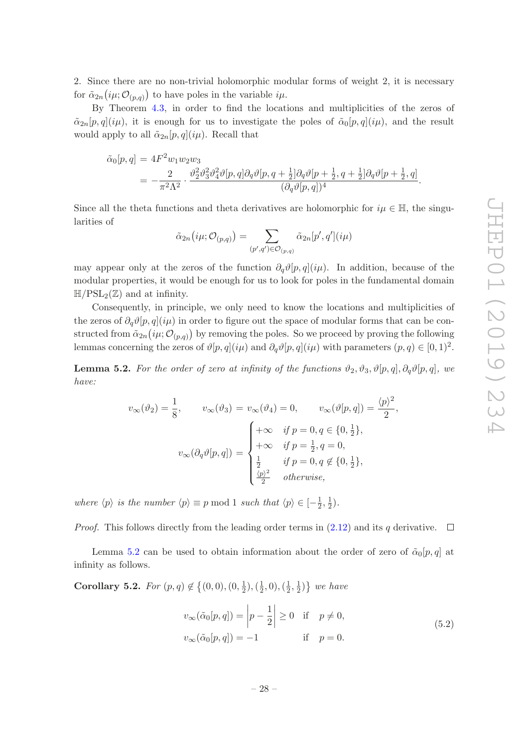2. Since there are no non-trivial holomorphic modular forms of weight 2, it is necessary for  $\tilde{\alpha}_{2n}(i\mu; \mathcal{O}_{(p,q)})$  to have poles in the variable  $i\mu$ .

By Theorem 4.3, in order to find the locations and multiplicities of the zeros of  $\tilde{\alpha}_{2n}[p,q](i\mu)$ , it is enough for us to investigate the poles of  $\tilde{\alpha}_0[p,q](i\mu)$ , and the result would apply to all  $\tilde{\alpha}_{2n}[p,q](i\mu)$ . Recall that

$$
\tilde{\alpha}_0[p,q] = 4F^2 w_1 w_2 w_3
$$
  
= 
$$
-\frac{2}{\pi^2 \Lambda^2} \cdot \frac{\vartheta_2^2 \vartheta_3^2 \vartheta_4^2 \vartheta[p,q] \partial_q \vartheta[p,q+\frac{1}{2}] \partial_q \vartheta[p+\frac{1}{2},q+\frac{1}{2}] \partial_q \vartheta[p+\frac{1}{2},q]}{(\partial_q \vartheta[p,q])^4}.
$$

Since all the theta functions and theta derivatives are holomorphic for  $i\mu \in \mathbb{H}$ , the singularities of

$$
\tilde{\alpha}_{2n}(i\mu; \mathcal{O}_{(p,q)}) = \sum_{(p',q') \in \mathcal{O}_{(p,q)}} \tilde{\alpha}_{2n}[p',q'](i\mu)
$$

may appear only at the zeros of the function  $\partial_q \vartheta[p,q](i\mu)$ . In addition, because of the modular properties, it would be enough for us to look for poles in the fundamental domain  $\mathbb{H}/PSL_2(\mathbb{Z})$  and at infinity.

Consequently, in principle, we only need to know the locations and multiplicities of the zeros of  $\partial_q \vartheta[p,q](i\mu)$  in order to figure out the space of modular forms that can be constructed from  $\tilde{\alpha}_{2n}(i\mu; \mathcal{O}_{(p,q)})$  by removing the poles. So we proceed by proving the following lemmas concerning the zeros of  $\vartheta[p,q](i\mu)$  and  $\partial_q\vartheta[p,q](i\mu)$  with parameters  $(p,q) \in [0,1)^2$ .

**Lemma 5.2.** For the order of zero at infinity of the functions  $\vartheta_2, \vartheta_3, \vartheta[p,q], \partial_q\vartheta[p,q]$ , we have:

$$
v_{\infty}(\vartheta_2) = \frac{1}{8}, \qquad v_{\infty}(\vartheta_3) = v_{\infty}(\vartheta_4) = 0, \qquad v_{\infty}(\vartheta[p, q]) = \frac{\langle p \rangle^2}{2},
$$

$$
v_{\infty}(\partial_q \vartheta[p, q]) = \begin{cases} +\infty & \text{if } p = 0, q \in \{0, \frac{1}{2}\}, \\ +\infty & \text{if } p = \frac{1}{2}, q = 0, \\ \frac{1}{2} & \text{if } p = 0, q \notin \{0, \frac{1}{2}\}, \\ \frac{\langle p \rangle^2}{2} & \text{otherwise,} \end{cases}
$$

where  $\langle p \rangle$  is the number  $\langle p \rangle \equiv p \mod 1$  such that  $\langle p \rangle \in [-\frac{1}{2}]$  $\frac{1}{2}, \frac{1}{2}$  $(\frac{1}{2})$ .

*Proof.* This follows directly from the leading order terms in  $(2.12)$  and its q derivative.  $\Box$ 

Lemma 5.2 can be used to obtain information about the order of zero of  $\tilde{\alpha}_0[p,q]$  at infinity as follows.

Corollary 5.2. For  $(p, q) \notin \{(0, 0), (0, \frac{1}{2})\}$  $(\frac{1}{2}), (\frac{1}{2})$  $(\frac{1}{2},0),(\frac{1}{2})$  $\frac{1}{2}, \frac{1}{2}$  $\frac{1}{2}$ ) we have

$$
v_{\infty}(\tilde{\alpha}_0[p, q]) = \left| p - \frac{1}{2} \right| \ge 0 \quad \text{if} \quad p \neq 0,
$$
  

$$
v_{\infty}(\tilde{\alpha}_0[p, q]) = -1 \qquad \text{if} \quad p = 0.
$$
 (5.2)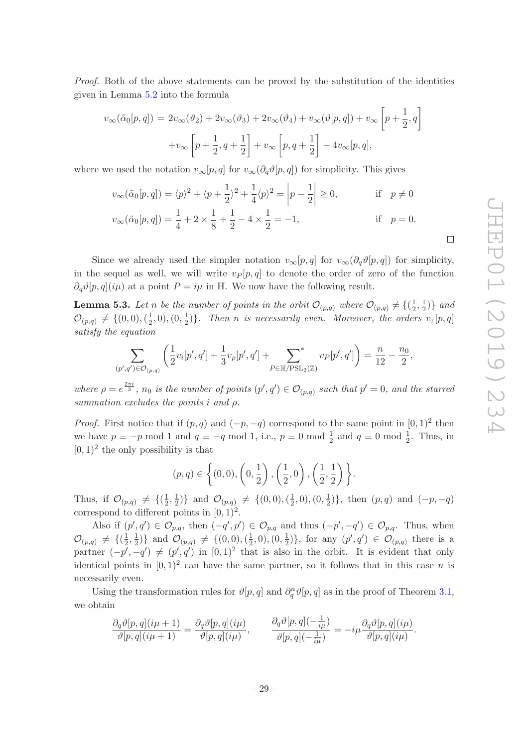$\Box$ 

Proof. Both of the above statements can be proved by the substitution of the identities given in Lemma 5.2 into the formula

$$
v_{\infty}(\tilde{\alpha}_0[p,q]) = 2v_{\infty}(\vartheta_2) + 2v_{\infty}(\vartheta_3) + 2v_{\infty}(\vartheta_4) + v_{\infty}(\vartheta[p,q]) + v_{\infty}\left[p + \frac{1}{2}, q\right]
$$

$$
+ v_{\infty}\left[p + \frac{1}{2}, q + \frac{1}{2}\right] + v_{\infty}\left[p, q + \frac{1}{2}\right] - 4v_{\infty}[p, q],
$$

where we used the notation  $v_{\infty}[p, q]$  for  $v_{\infty}(\partial_q \vartheta[p, q])$  for simplicity. This gives

$$
v_{\infty}(\tilde{\alpha}_0[p,q]) = \langle p \rangle^2 + \langle p + \frac{1}{2} \rangle^2 + \frac{1}{4} \langle p \rangle^2 = \left| p - \frac{1}{2} \right| \ge 0, \quad \text{if } p \ne 0
$$
  

$$
v_{\infty}(\tilde{\alpha}_0[p,q]) = \frac{1}{4} + 2 \times \frac{1}{8} + \frac{1}{2} - 4 \times \frac{1}{2} = -1, \quad \text{if } p = 0.
$$

Since we already used the simpler notation  $v_{\infty}[p,q]$  for  $v_{\infty}(\partial_q \vartheta[p,q])$  for simplicity, in the sequel as well, we will write  $v_P[p,q]$  to denote the order of zero of the function  $\partial_q \vartheta[p, q](i\mu)$  at a point  $P = i\mu$  in H. We now have the following result.

**Lemma 5.3.** Let n be the number of points in the orbit  $\mathcal{O}_{(p,q)}$  where  $\mathcal{O}_{(p,q)} \neq \{(\frac{1}{2}, \frac{1}{2}, \frac{1}{2}, \frac{1}{2}, \frac{1}{2}, \frac{1}{2}, \frac{1}{2}, \frac{1}{2}, \frac{1}{2}, \frac{1}{2}, \frac{1}{2}, \frac{1}{2}, \frac{1}{2}, \frac{1}{2}, \frac{1}{2}, \frac{1}{2}, \frac{1}{2}, \frac{1}{2}, \frac{1$  $\frac{1}{2}, \frac{1}{2}$  $\frac{1}{2}$ ) and  $\mathcal{O}_{(p,q)} \neq \{ (0,0), (\frac{1}{2})$  $(\frac{1}{2},0), (0,\frac{1}{2})$  $\frac{1}{2}$ )}. Then n is necessarily even. Moreover, the orders  $v_{\tau}[p,q]$ satisfy the equation

$$
\sum_{(p',q')\in\mathcal{O}_{(p,q)}} \left(\frac{1}{2}v_i[p',q'] + \frac{1}{3}v_\rho[p',q'] + \sum_{P\in\mathbb{H}/\mathrm{PSL}_2(\mathbb{Z})} v_P[p',q']\right) = \frac{n}{12} - \frac{n_0}{2},
$$

where  $\rho = e^{\frac{2\pi i}{3}}$ ,  $n_0$  is the number of points  $(p', q') \in \mathcal{O}_{(p,q)}$  such that  $p' = 0$ , and the starred summation excludes the points i and  $\rho$ .

*Proof.* First notice that if  $(p, q)$  and  $(-p, -q)$  correspond to the same point in  $[0, 1)^2$  then we have  $p \equiv -p \mod{1}$  and  $q \equiv -q \mod{1}$ , i.e.,  $p \equiv 0 \mod{\frac{1}{2}}$  and  $q \equiv 0 \mod{\frac{1}{2}}$ . Thus, in  $[0, 1)^2$  the only possibility is that

$$
(p,q) \in \left\{ (0,0), \left(0, \frac{1}{2}\right), \left(\frac{1}{2}, 0\right), \left(\frac{1}{2}, \frac{1}{2}\right) \right\}.
$$

Thus, if  $\mathcal{O}_{(p,q)} \neq \{(\frac{1}{2})\}$  $\frac{1}{2}, \frac{1}{2}$  $\{\frac{1}{2})\}$  and  $\mathcal{O}_{(p,q)} \neq \{(0,0),(\frac{1}{2})\}$  $(\frac{1}{2},0), (0,\frac{1}{2})$  $\{\frac{1}{2}\},\$  then  $(p,q)$  and  $(-p,-q)$ correspond to different points in  $[0, 1)^2$ .

Also if  $(p', q') \in \mathcal{O}_{p,q}$ , then  $(-q', p') \in \mathcal{O}_{p,q}$  and thus  $(-p', -q') \in \mathcal{O}_{p,q}$ . Thus, when  $\mathcal{O}_{(p,q)} \ \neq \ \{(\frac{1}{2}$  $\frac{1}{2}, \frac{1}{2}$  $\{\frac{1}{2})\}$  and  $\mathcal{O}_{(p,q)} \neq \{(0,0),(\frac{1}{2})\}$  $(\frac{1}{2},0), (0,\frac{1}{2})$  $\{\frac{1}{2}\}\},\$ for any  $(p',q')\in\mathcal{O}_{(p,q)}$  there is a partner  $(-p', -q') \neq (p', q')$  in  $[0, 1)^2$  that is also in the orbit. It is evident that only identical points in  $[0, 1)^2$  can have the same partner, so it follows that in this case *n* is necessarily even.

Using the transformation rules for  $\vartheta[p,q]$  and  $\partial_q^n \vartheta[p,q]$  as in the proof of Theorem 3.1, we obtain

$$
\frac{\partial_q \vartheta[p,q](i\mu+1)}{\vartheta[p,q](i\mu+1)} = \frac{\partial_q \vartheta[p,q](i\mu)}{\vartheta[p,q](i\mu)}, \qquad \frac{\partial_q \vartheta[p,q](-\frac{1}{i\mu})}{\vartheta[p,q](-\frac{1}{i\mu})} = -i\mu \frac{\partial_q \vartheta[p,q](i\mu)}{\vartheta[p,q](i\mu)}.
$$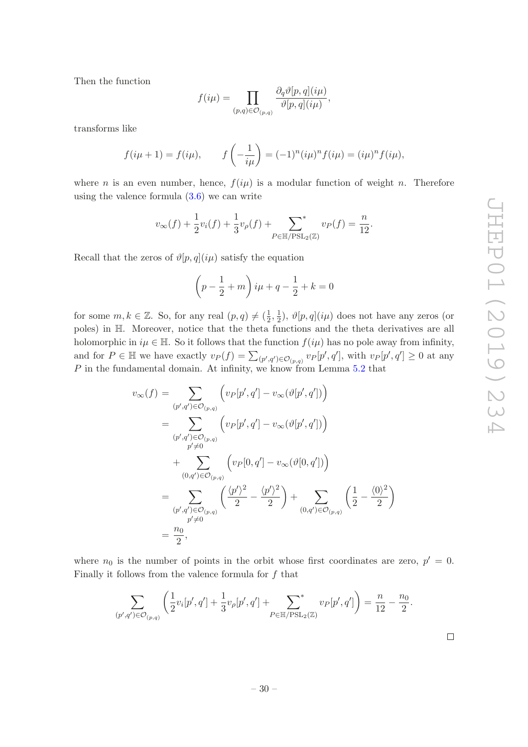Then the function

$$
f(i\mu) = \prod_{(p,q)\in\mathcal{O}_{(p,q)}} \frac{\partial_q \vartheta[p,q](i\mu)}{\vartheta[p,q](i\mu)},
$$

transforms like

$$
f(i\mu + 1) = f(i\mu),
$$
  $f\left(-\frac{1}{i\mu}\right) = (-1)^n (i\mu)^n f(i\mu) = (i\mu)^n f(i\mu),$ 

where n is an even number, hence,  $f(i\mu)$  is a modular function of weight n. Therefore using the valence formula  $(3.6)$  we can write

$$
v_{\infty}(f) + \frac{1}{2}v_i(f) + \frac{1}{3}v_{\rho}(f) + \sum_{P \in \mathbb{H}/PSL_2(\mathbb{Z})} v_P(f) = \frac{n}{12}.
$$

Recall that the zeros of  $\vartheta[p,q](i\mu)$  satisfy the equation

$$
\left(p - \frac{1}{2} + m\right)i\mu + q - \frac{1}{2} + k = 0
$$

for some  $m, k \in \mathbb{Z}$ . So, for any real  $(p, q) \neq (\frac{1}{2}, \frac{1}{2})$  $(\frac{1}{2}), \vartheta[p, q](i\mu)$  does not have any zeros (or poles) in H. Moreover, notice that the theta functions and the theta derivatives are all holomorphic in  $i\mu \in \mathbb{H}$ . So it follows that the function  $f(i\mu)$  has no pole away from infinity, and for  $P \in \mathbb{H}$  we have exactly  $v_P(f) = \sum_{(p',q') \in \mathcal{O}_{(p,q)}} v_P[p',q']$ , with  $v_P[p',q'] \geq 0$  at any P in the fundamental domain. At infinity, we know from Lemma 5.2 that

$$
v_{\infty}(f) = \sum_{(p',q') \in \mathcal{O}_{(p,q)}} \left( v_P[p',q'] - v_{\infty}(\vartheta[p',q']) \right)
$$
  
\n
$$
= \sum_{(p',q') \in \mathcal{O}_{(p,q)}} \left( v_P[p',q'] - v_{\infty}(\vartheta[p',q']) \right)
$$
  
\n
$$
+ \sum_{(0,q') \in \mathcal{O}_{(p,q)}} \left( v_P[0,q'] - v_{\infty}(\vartheta[0,q']) \right)
$$
  
\n
$$
= \sum_{(p',q') \in \mathcal{O}_{(p,q)}} \left( \frac{\langle p'\rangle^2}{2} - \frac{\langle p'\rangle^2}{2} \right) + \sum_{(0,q') \in \mathcal{O}_{(p,q)}} \left( \frac{1}{2} - \frac{\langle 0\rangle^2}{2} \right)
$$
  
\n
$$
= \frac{n_0}{2},
$$

where  $n_0$  is the number of points in the orbit whose first coordinates are zero,  $p' = 0$ . Finally it follows from the valence formula for f that

$$
\sum_{(p',q')\in\mathcal{O}_{(p,q)}} \left(\frac{1}{2}v_i[p',q'] + \frac{1}{3}v_\rho[p',q'] + \sum_{P\in\mathbb{H}/\mathrm{PSL}_2(\mathbb{Z})}^{*} v_P[p',q']\right) = \frac{n}{12} - \frac{n_0}{2}.
$$

 $\Box$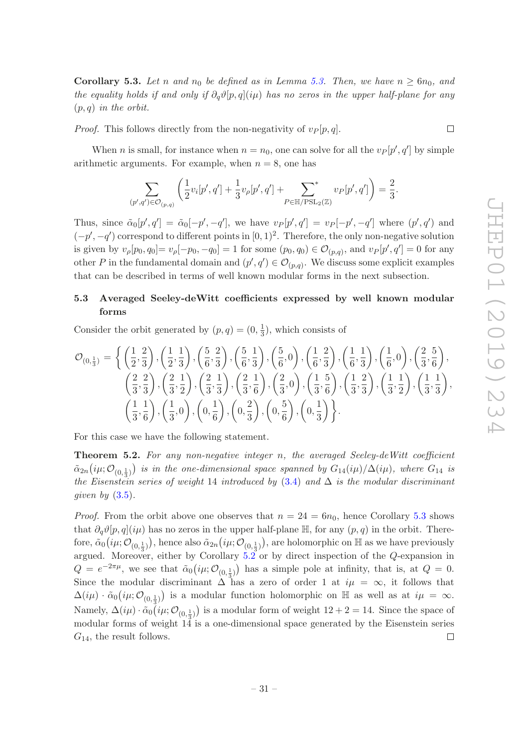,

 $\Box$ 

**Corollary 5.3.** Let n and  $n_0$  be defined as in Lemma 5.3. Then, we have  $n \geq 6n_0$ , and the equality holds if and only if  $\partial_q \vartheta[p,q](i\mu)$  has no zeros in the upper half-plane for any  $(p, q)$  in the orbit.

*Proof.* This follows directly from the non-negativity of  $v_P[p,q]$ .

When *n* is small, for instance when  $n = n_0$ , one can solve for all the  $v_P[p', q']$  by simple arithmetic arguments. For example, when  $n = 8$ , one has

$$
\sum_{(p',q')\in\mathcal{O}_{(p,q)}} \left( \frac{1}{2} v_i[p',q'] + \frac{1}{3} v_\rho[p',q'] + \sum_{P\in\mathbb{H}/\mathrm{PSL}_2(\mathbb{Z})} v_P[p',q'] \right) = \frac{2}{3}.
$$

Thus, since  $\tilde{\alpha}_0[p',q'] = \tilde{\alpha}_0[-p',-q'],$  we have  $v_P[p',q'] = v_P[-p',-q']$  where  $(p',q')$  and  $(-p', -q')$  correspond to different points in  $[0, 1)^2$ . Therefore, the only non-negative solution is given by  $v_{\rho}[p_0, q_0] = v_{\rho}[-p_0, -q_0] = 1$  for some  $(p_0, q_0) \in \mathcal{O}_{(p,q)}$ , and  $v_{P}[p', q'] = 0$  for any other P in the fundamental domain and  $(p', q') \in \mathcal{O}_{(p,q)}$ . We discuss some explicit examples that can be described in terms of well known modular forms in the next subsection.

# 5.3 Averaged Seeley-deWitt coefficients expressed by well known modular forms

Consider the orbit generated by  $(p, q) = (0, \frac{1}{3})$  $\frac{1}{3}$ , which consists of

$$
\mathcal{O}_{(0,\frac{1}{3})} = \left\{ \left( \frac{1}{2}, \frac{2}{3} \right), \left( \frac{1}{2}, \frac{1}{3} \right), \left( \frac{5}{6}, \frac{2}{3} \right), \left( \frac{5}{6}, \frac{1}{3} \right), \left( \frac{5}{6}, 0 \right), \left( \frac{1}{6}, \frac{2}{3} \right), \left( \frac{1}{6}, \frac{1}{3} \right), \left( \frac{1}{6}, 0 \right), \left( \frac{2}{3}, \frac{5}{6} \right), \left( \frac{2}{3}, \frac{2}{3} \right), \left( \frac{2}{3}, \frac{1}{2} \right), \left( \frac{2}{3}, \frac{1}{3} \right), \left( \frac{2}{3}, \frac{1}{3} \right), \left( \frac{2}{3}, \frac{1}{6} \right), \left( \frac{2}{3}, \frac{1}{6} \right), \left( \frac{2}{3}, \frac{1}{6} \right), \left( \frac{1}{3}, \frac{5}{6} \right), \left( \frac{1}{3}, \frac{2}{3} \right), \left( \frac{1}{3}, \frac{1}{2} \right), \left( \frac{1}{3}, \frac{1}{3} \right), \left( \frac{1}{3}, 0 \right), \left( 0, \frac{1}{6} \right), \left( 0, \frac{2}{3} \right), \left( 0, \frac{5}{6} \right), \left( 0, \frac{1}{3} \right) \right\}.
$$

For this case we have the following statement.

**Theorem 5.2.** For any non-negative integer  $n$ , the averaged Seeley-deWitt coefficient  $\tilde{\alpha}_{2n}(i\mu;\mathcal{O}_{(0,\frac{1}{3})})$  is in the one-dimensional space spanned by  $G_{14}(i\mu)/\Delta(i\mu)$ , where  $G_{14}$  is the Eisenstein series of weight 14 introduced by (3.4) and  $\Delta$  is the modular discriminant given by  $(3.5)$ .

*Proof.* From the orbit above one observes that  $n = 24 = 6n_0$ , hence Corollary 5.3 shows that  $\partial_q \vartheta[p,q](i\mu)$  has no zeros in the upper half-plane  $\mathbb{H}$ , for any  $(p,q)$  in the orbit. Therefore,  $\tilde{\alpha}_0(i\mu;\mathcal{O}_{(0,\frac{1}{3})})$ , hence also  $\tilde{\alpha}_{2n}(i\mu;\mathcal{O}_{(0,\frac{1}{3})})$ , are holomorphic on  $\mathbb H$  as we have previously argued. Moreover, either by Corollary  $5.\overline{2}$  or by direct inspection of the Q-expansion in  $Q = e^{-2\pi\mu}$ , we see that  $\tilde{\alpha}_0(i\mu; \mathcal{O}_{(0, \frac{1}{3})})$  has a simple pole at infinity, that is, at  $Q = 0$ . Since the modular discriminant  $\Delta$  has a zero of order 1 at  $i\mu = \infty$ , it follows that  $\Delta(i\mu) \cdot \tilde{\alpha}_0(i\mu; \mathcal{O}_{(0,\frac{1}{3})})$  is a modular function holomorphic on  $\mathbb H$  as well as at  $i\mu = \infty$ . Namely,  $\Delta(i\mu) \cdot \tilde{\alpha}_0(i\mu; \mathcal{O}_{(0, \frac{1}{3})})$  is a modular form of weight  $12 + 2 = 14$ . Since the space of modular forms of weight 14 is a one-dimensional space generated by the Eisenstein series  $G_{14}$ , the result follows.  $\Box$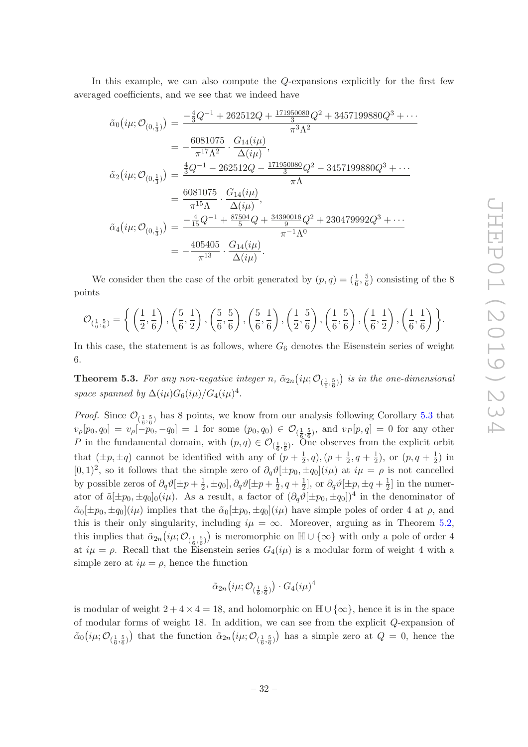In this example, we can also compute the Q-expansions explicitly for the first few averaged coefficients, and we see that we indeed have

$$
\tilde{\alpha}_{0}(i\mu; \mathcal{O}_{(0,\frac{1}{3})}) = \frac{-\frac{4}{3}Q^{-1} + 262512Q + \frac{171950080}{3}Q^{2} + 3457199880Q^{3} + \cdots}{\pi^{3}\Lambda^{2}}
$$
\n
$$
= -\frac{6081075}{\pi^{17}\Lambda^{2}} \cdot \frac{G_{14}(i\mu)}{\Delta(i\mu)},
$$
\n
$$
\tilde{\alpha}_{2}(i\mu; \mathcal{O}_{(0,\frac{1}{3})}) = \frac{\frac{4}{3}Q^{-1} - 262512Q - \frac{171950080}{3}Q^{2} - 3457199880Q^{3} + \cdots}{\pi\Lambda}
$$
\n
$$
= \frac{6081075}{\pi^{15}\Lambda} \cdot \frac{G_{14}(i\mu)}{\Delta(i\mu)},
$$
\n
$$
\tilde{\alpha}_{4}(i\mu; \mathcal{O}_{(0,\frac{1}{3})}) = \frac{-\frac{4}{15}Q^{-1} + \frac{87504}{5}Q + \frac{34390016}{9}Q^{2} + 230479992Q^{3} + \cdots}{\pi^{-1}\Lambda^{0}}
$$
\n
$$
= -\frac{405405}{\pi^{13}} \cdot \frac{G_{14}(i\mu)}{\Delta(i\mu)}.
$$

We consider then the case of the orbit generated by  $(p, q) = (\frac{1}{6}, \frac{5}{6})$  $\frac{5}{6}$ ) consisting of the 8 points

$$
\mathcal{O}_{(\frac{1}{6},\frac{5}{6})} = \left\{ \left( \frac{1}{2},\frac{1}{6} \right), \left( \frac{5}{6},\frac{1}{2} \right), \left( \frac{5}{6},\frac{5}{6} \right), \left( \frac{5}{6},\frac{1}{6} \right), \left( \frac{1}{2},\frac{5}{6} \right), \left( \frac{1}{6},\frac{5}{6} \right), \left( \frac{1}{6},\frac{1}{2} \right), \left( \frac{1}{6},\frac{1}{6} \right) \right\}.
$$

In this case, the statement is as follows, where  $G_6$  denotes the Eisenstein series of weight 6.

**Theorem 5.3.** For any non-negative integer n,  $\tilde{\alpha}_{2n}(i\mu;\mathcal{O}_{(\frac{1}{6},\frac{5}{6})})$  is in the one-dimensional space spanned by  $\Delta(i\mu)G_6(i\mu)/G_4(i\mu)^4$ .

*Proof.* Since  $\mathcal{O}_{(\frac{1}{6},\frac{5}{6})}$  has 8 points, we know from our analysis following Corollary 5.3 that  $v_p[p_0, q_0] = v_p[-p_0, -q_0] = 1$  for some  $(p_0, q_0) \in \mathcal{O}_{(\frac{1}{6}, \frac{5}{6})}$ , and  $v_p[p, q] = 0$  for any other P in the fundamental domain, with  $(p, q) \in \mathcal{O}_{(\frac{1}{6}, \frac{5}{6})}$ . One observes from the explicit orbit that  $(\pm p, \pm q)$  cannot be identified with any of  $(p + \frac{1}{2})$  $(\frac{1}{2}, q), (p + \frac{1}{2})$  $\frac{1}{2}, q + \frac{1}{2}$  $(\frac{1}{2})$ , or  $(p, q + \frac{1}{2})$  $(\frac{1}{2})$  in  $[0,1)^2$ , so it follows that the simple zero of  $\partial_q\vartheta[\pm p_0,\pm q_0](i\mu)$  at  $i\mu = \rho$  is not cancelled by possible zeros of  $\partial_q \vartheta[\pm p + \frac{1}{2}]$  $\frac{1}{2}, \pm q_0$ ,  $\partial_q \vartheta [\pm p + \frac{1}{2}]$  $\frac{1}{2}, q + \frac{1}{2}$  $\frac{1}{2}$ , or  $\partial_q \vartheta[\pm p, \pm q + \frac{1}{2}]$  $\frac{1}{2}$  in the numerator of  $\tilde{a}[\pm p_0, \pm q_0]_0(i\mu)$ . As a result, a factor of  $(\partial_q \vartheta[\pm p_0, \pm q_0])^4$  in the denominator of  $\tilde{\alpha}_0[\pm p_0, \pm q_0](i\mu)$  implies that the  $\tilde{\alpha}_0[\pm p_0, \pm q_0](i\mu)$  have simple poles of order 4 at  $\rho$ , and this is their only singularity, including  $i\mu = \infty$ . Moreover, arguing as in Theorem 5.2, this implies that  $\tilde{\alpha}_{2n}(i\mu;\mathcal{O}_{(\frac{1}{6},\frac{5}{6})})$  is meromorphic on  $\mathbb{H}\cup\{\infty\}$  with only a pole of order 4 at  $i\mu = \rho$ . Recall that the Eisenstein series  $G_4(i\mu)$  is a modular form of weight 4 with a simple zero at  $i\mu = \rho$ , hence the function

$$
\tilde{\alpha}_{2n}(i\mu;\mathcal{O}_{(\frac{1}{6},\frac{5}{6})})\cdot G_4(i\mu)^4
$$

is modular of weight  $2 + 4 \times 4 = 18$ , and holomorphic on  $\mathbb{H} \cup {\infty}$ , hence it is in the space of modular forms of weight 18. In addition, we can see from the explicit Q-expansion of  $\tilde{\alpha}_0(i\mu;\mathcal{O}_{(\frac{1}{6},\frac{5}{6})})$  that the function  $\tilde{\alpha}_{2n}(i\mu;\mathcal{O}_{(\frac{1}{6},\frac{5}{6})})$  has a simple zero at  $Q=0$ , hence the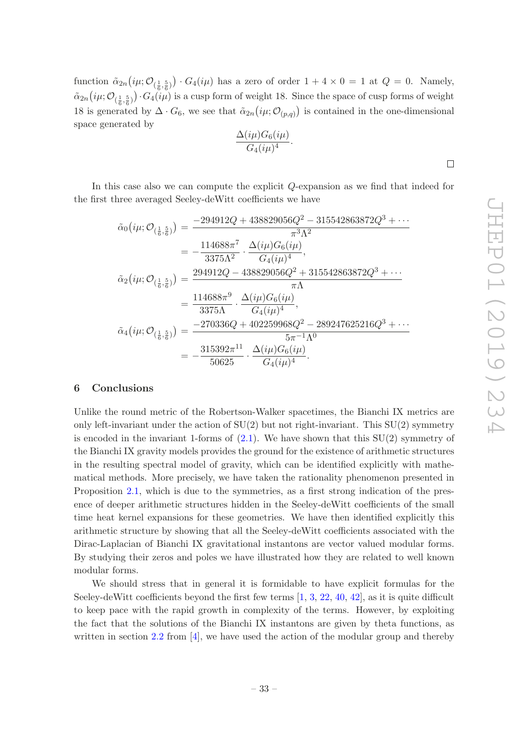function  $\tilde{\alpha}_{2n}(i\mu;\mathcal{O}_{(\frac{1}{6},\frac{5}{6})})\cdot G_4(i\mu)$  has a zero of order  $1+4\times 0=1$  at  $Q=0$ . Namely,  $\tilde{\alpha}_{2n}(i\mu;\mathcal{O}_{(\frac{1}{6},\frac{5}{6})})\cdot G_4(i\mu)$  is a cusp form of weight 18. Since the space of cusp forms of weight 18 is generated by  $\Delta \cdot G_6$ , we see that  $\tilde{\alpha}_{2n}(i\mu;\mathcal{O}_{(p,q)})$  is contained in the one-dimensional space generated by

$$
\frac{\Delta(i\mu)G_6(i\mu)}{G_4(i\mu)^4}.
$$

 $\Box$ 

In this case also we can compute the explicit Q-expansion as we find that indeed for the first three averaged Seeley-deWitt coefficients we have

$$
\tilde{\alpha}_{0}(i\mu;\mathcal{O}_{(\frac{1}{6},\frac{5}{6})}) = \frac{-294912Q + 438829056Q^{2} - 315542863872Q^{3} + \cdots}{\pi^{3}\Lambda^{2}}
$$
\n
$$
= -\frac{114688\pi^{7}}{3375\Lambda^{2}} \cdot \frac{\Delta(i\mu)G_{6}(i\mu)}{G_{4}(i\mu)^{4}},
$$
\n
$$
\tilde{\alpha}_{2}(i\mu;\mathcal{O}_{(\frac{1}{6},\frac{5}{6})}) = \frac{294912Q - 438829056Q^{2} + 315542863872Q^{3} + \cdots}{\pi\Lambda}
$$
\n
$$
= \frac{114688\pi^{9}}{3375\Lambda} \cdot \frac{\Delta(i\mu)G_{6}(i\mu)}{G_{4}(i\mu)^{4}},
$$
\n
$$
\tilde{\alpha}_{4}(i\mu;\mathcal{O}_{(\frac{1}{6},\frac{5}{6})}) = \frac{-270336Q + 402259968Q^{2} - 289247625216Q^{3} + \cdots}{5\pi^{-1}\Lambda^{0}}
$$
\n
$$
= -\frac{315392\pi^{11}}{50625} \cdot \frac{\Delta(i\mu)G_{6}(i\mu)}{G_{4}(i\mu)^{4}}.
$$

# 6 Conclusions

Unlike the round metric of the Robertson-Walker spacetimes, the Bianchi IX metrics are only left-invariant under the action of  $SU(2)$  but not right-invariant. This  $SU(2)$  symmetry is encoded in the invariant 1-forms of  $(2.1)$ . We have shown that this  $SU(2)$  symmetry of the Bianchi IX gravity models provides the ground for the existence of arithmetic structures in the resulting spectral model of gravity, which can be identified explicitly with mathematical methods. More precisely, we have taken the rationality phenomenon presented in Proposition 2.1, which is due to the symmetries, as a first strong indication of the presence of deeper arithmetic structures hidden in the Seeley-deWitt coefficients of the small time heat kernel expansions for these geometries. We have then identified explicitly this arithmetic structure by showing that all the Seeley-deWitt coefficients associated with the Dirac-Laplacian of Bianchi IX gravitational instantons are vector valued modular forms. By studying their zeros and poles we have illustrated how they are related to well known modular forms.

We should stress that in general it is formidable to have explicit formulas for the Seeley-deWitt coefficients beyond the first few terms [1, 3, 22, 40, 42], as it is quite difficult to keep pace with the rapid growth in complexity of the terms. However, by exploiting the fact that the solutions of the Bianchi IX instantons are given by theta functions, as written in section 2.2 from  $[4]$ , we have used the action of the modular group and thereby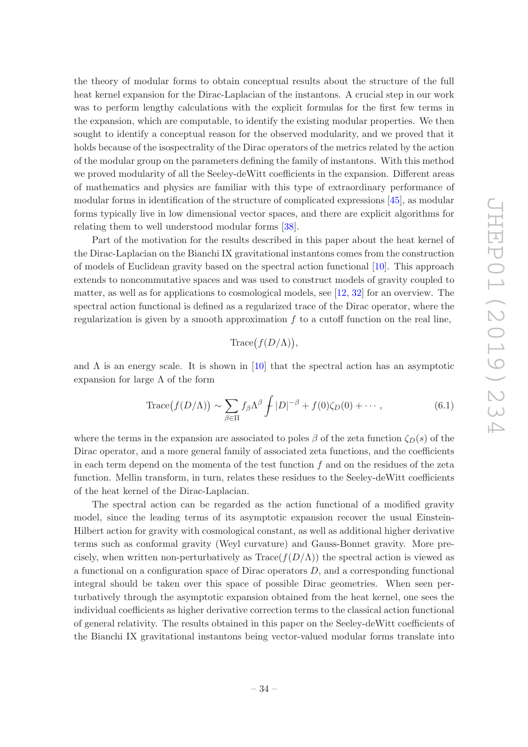the theory of modular forms to obtain conceptual results about the structure of the full heat kernel expansion for the Dirac-Laplacian of the instantons. A crucial step in our work was to perform lengthy calculations with the explicit formulas for the first few terms in the expansion, which are computable, to identify the existing modular properties. We then sought to identify a conceptual reason for the observed modularity, and we proved that it holds because of the isospectrality of the Dirac operators of the metrics related by the action of the modular group on the parameters defining the family of instantons. With this method we proved modularity of all the Seeley-deWitt coefficients in the expansion. Different areas of mathematics and physics are familiar with this type of extraordinary performance of modular forms in identification of the structure of complicated expressions [45], as modular forms typically live in low dimensional vector spaces, and there are explicit algorithms for relating them to well understood modular forms [38].

Part of the motivation for the results described in this paper about the heat kernel of the Dirac-Laplacian on the Bianchi IX gravitational instantons comes from the construction of models of Euclidean gravity based on the spectral action functional [10]. This approach extends to noncommutative spaces and was used to construct models of gravity coupled to matter, as well as for applications to cosmological models, see [12, 32] for an overview. The spectral action functional is defined as a regularized trace of the Dirac operator, where the regularization is given by a smooth approximation  $f$  to a cutoff function on the real line,

$$
\operatorname{Trace}(f(D/\Lambda)),
$$

and  $\Lambda$  is an energy scale. It is shown in [10] that the spectral action has an asymptotic expansion for large  $\Lambda$  of the form

$$
\text{Trace}(f(D/\Lambda)) \sim \sum_{\beta \in \Pi} f_{\beta} \Lambda^{\beta} \int |D|^{-\beta} + f(0)\zeta_D(0) + \cdots, \tag{6.1}
$$

where the terms in the expansion are associated to poles  $\beta$  of the zeta function  $\zeta_D(s)$  of the Dirac operator, and a more general family of associated zeta functions, and the coefficients in each term depend on the momenta of the test function  $f$  and on the residues of the zeta function. Mellin transform, in turn, relates these residues to the Seeley-deWitt coefficients of the heat kernel of the Dirac-Laplacian.

The spectral action can be regarded as the action functional of a modified gravity model, since the leading terms of its asymptotic expansion recover the usual Einstein-Hilbert action for gravity with cosmological constant, as well as additional higher derivative terms such as conformal gravity (Weyl curvature) and Gauss-Bonnet gravity. More precisely, when written non-perturbatively as  $Trace(f(D/\Lambda))$  the spectral action is viewed as a functional on a configuration space of Dirac operators D, and a corresponding functional integral should be taken over this space of possible Dirac geometries. When seen perturbatively through the asymptotic expansion obtained from the heat kernel, one sees the individual coefficients as higher derivative correction terms to the classical action functional of general relativity. The results obtained in this paper on the Seeley-deWitt coefficients of the Bianchi IX gravitational instantons being vector-valued modular forms translate into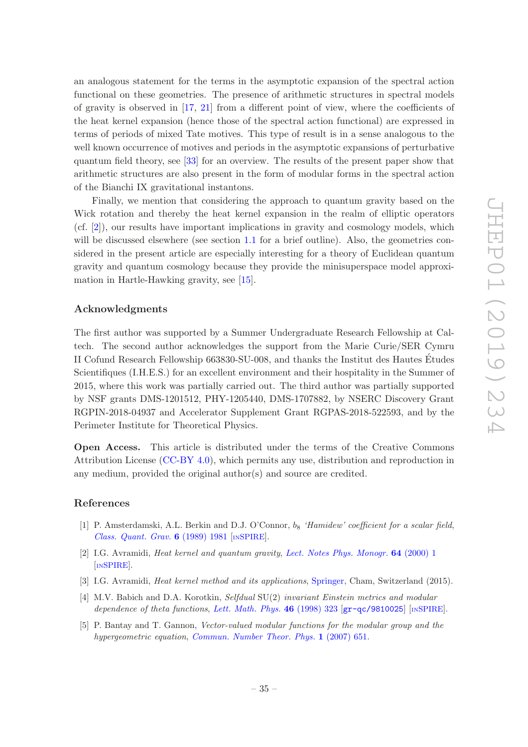an analogous statement for the terms in the asymptotic expansion of the spectral action functional on these geometries. The presence of arithmetic structures in spectral models of gravity is observed in [17, 21] from a different point of view, where the coefficients of the heat kernel expansion (hence those of the spectral action functional) are expressed in terms of periods of mixed Tate motives. This type of result is in a sense analogous to the well known occurrence of motives and periods in the asymptotic expansions of perturbative quantum field theory, see [33] for an overview. The results of the present paper show that arithmetic structures are also present in the form of modular forms in the spectral action of the Bianchi IX gravitational instantons.

Finally, we mention that considering the approach to quantum gravity based on the Wick rotation and thereby the heat kernel expansion in the realm of elliptic operators (cf. [2]), our results have important implications in gravity and cosmology models, which will be discussed elsewhere (see section 1.1 for a brief outline). Also, the geometries considered in the present article are especially interesting for a theory of Euclidean quantum gravity and quantum cosmology because they provide the minisuperspace model approximation in Hartle-Hawking gravity, see [15].

# Acknowledgments

The first author was supported by a Summer Undergraduate Research Fellowship at Caltech. The second author acknowledges the support from the Marie Curie/SER Cymru II Cofund Research Fellowship 663830-SU-008, and thanks the Institut des Hautes Etudes ´ Scientifiques (I.H.E.S.) for an excellent environment and their hospitality in the Summer of 2015, where this work was partially carried out. The third author was partially supported by NSF grants DMS-1201512, PHY-1205440, DMS-1707882, by NSERC Discovery Grant RGPIN-2018-04937 and Accelerator Supplement Grant RGPAS-2018-522593, and by the Perimeter Institute for Theoretical Physics.

Open Access. This article is distributed under the terms of the Creative Commons Attribution License (CC-BY 4.0), which permits any use, distribution and reproduction in any medium, provided the original author(s) and source are credited.

## References

- [1] P. Amsterdamski, A.L. Berkin and D.J. O'Connor, b<sub>8</sub> 'Hamidew' coefficient for a scalar field, Class. Quant. Grav. 6 (1989) 1981 [INSPIRE].
- [2] I.G. Avramidi, Heat kernel and quantum gravity, Lect. Notes Phys. Monogr. 64 (2000) 1 [INSPIRE].
- [3] I.G. Avramidi, *Heat kernel method and its applications*, Springer, Cham, Switzerland (2015).
- [4] M.V. Babich and D.A. Korotkin, Selfdual SU(2) invariant Einstein metrics and modular dependence of theta functions, Lett. Math. Phys.  $46$  (1998) 323 [gr-qc/9810025] [INSPIRE].
- [5] P. Bantay and T. Gannon, Vector-valued modular functions for the modular group and the hypergeometric equation, Commun. Number Theor. Phys. 1 (2007) 651.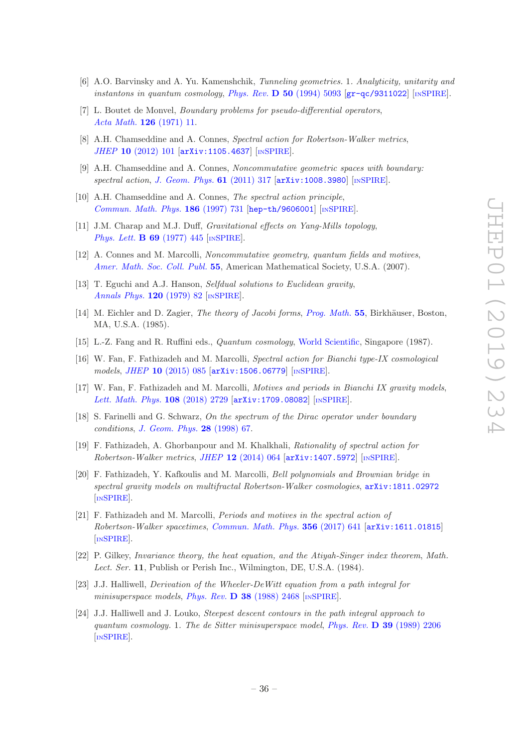- [6] A.O. Barvinsky and A. Yu. Kamenshchik, Tunneling geometries. 1. Analyticity, unitarity and instantons in quantum cosmology, Phys. Rev.  $\overline{D}$  50 (1994) 5093 [gr-qc/9311022] [INSPIRE].
- [7] L. Boutet de Monvel, Boundary problems for pseudo-differential operators, Acta Math. 126 (1971) 11.
- [8] A.H. Chamseddine and A. Connes, Spectral action for Robertson-Walker metrics, JHEP 10 (2012) 101 [arXiv:1105.4637] [INSPIRE].
- [9] A.H. Chamseddine and A. Connes, Noncommutative geometric spaces with boundary: spectral action, J. Geom. Phys. 61 (2011) 317 [arXiv:1008.3980] [INSPIRE].
- [10] A.H. Chamseddine and A. Connes, The spectral action principle, Commun. Math. Phys. 186 (1997) 731 [hep-th/9606001] [INSPIRE].
- [11] J.M. Charap and M.J. Duff, Gravitational effects on Yang-Mills topology, Phys. Lett. **B 69** (1977) 445 [INSPIRE].
- [12] A. Connes and M. Marcolli, Noncommutative geometry, quantum fields and motives, Amer. Math. Soc. Coll. Publ. 55, American Mathematical Society, U.S.A. (2007).
- [13] T. Eguchi and A.J. Hanson, Selfdual solutions to Euclidean gravity, Annals Phys. **120** (1979) 82 [INSPIRE].
- [14] M. Eichler and D. Zagier, *The theory of Jacobi forms, Prog. Math.* 55, Birkhäuser, Boston, MA, U.S.A. (1985).
- [15] L.-Z. Fang and R. Ruffini eds., Quantum cosmology, World Scientific, Singapore (1987).
- [16] W. Fan, F. Fathizadeh and M. Marcolli, Spectral action for Bianchi type-IX cosmological models, JHEP 10 (2015) 085 [arXiv:1506.06779] [INSPIRE].
- [17] W. Fan, F. Fathizadeh and M. Marcolli, Motives and periods in Bianchi IX gravity models, Lett. Math. Phys. 108 (2018) 2729 [arXiv:1709.08082] [INSPIRE].
- [18] S. Farinelli and G. Schwarz, On the spectrum of the Dirac operator under boundary conditions, J. Geom. Phys. 28 (1998) 67.
- [19] F. Fathizadeh, A. Ghorbanpour and M. Khalkhali, Rationality of spectral action for Robertson-Walker metrics, JHEP 12 (2014) 064 [arXiv:1407.5972] [INSPIRE].
- [20] F. Fathizadeh, Y. Kafkoulis and M. Marcolli, Bell polynomials and Brownian bridge in spectral gravity models on multifractal Robertson-Walker cosmologies, arXiv:1811.02972 [INSPIRE].
- [21] F. Fathizadeh and M. Marcolli, Periods and motives in the spectral action of Robertson-Walker spacetimes, Commun. Math. Phys. 356 (2017) 641 [arXiv:1611.01815] [INSPIRE].
- [22] P. Gilkey, Invariance theory, the heat equation, and the Atiyah-Singer index theorem, Math. Lect. Ser. 11, Publish or Perish Inc., Wilmington, DE, U.S.A. (1984).
- [23] J.J. Halliwell, Derivation of the Wheeler-DeWitt equation from a path integral for minisuperspace models, Phys. Rev.  $\bf{D}$  38 (1988) 2468 [INSPIRE].
- [24] J.J. Halliwell and J. Louko, Steepest descent contours in the path integral approach to quantum cosmology. 1. The de Sitter minisuperspace model, Phys. Rev.  $\bf{D}$  39 (1989) 2206 [INSPIRE].